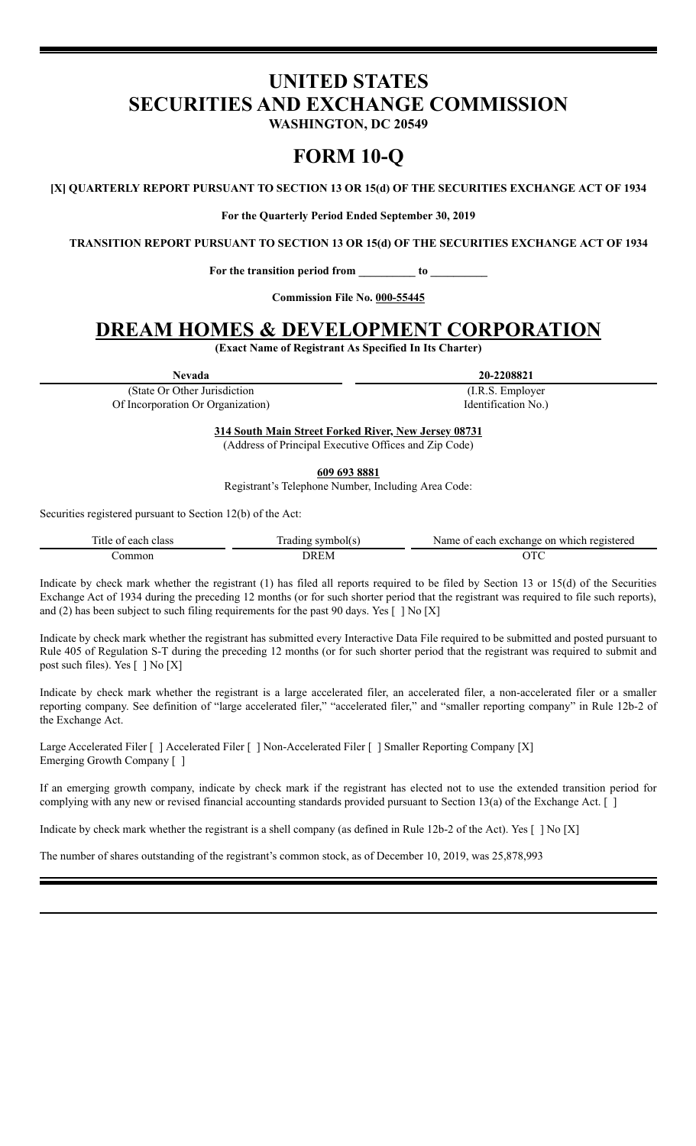# **UNITED STATES SECURITIES AND EXCHANGE COMMISSION**

**WASHINGTON, DC 20549**

# **FORM 10-Q**

**[X] QUARTERLY REPORT PURSUANT TO SECTION 13 OR 15(d) OF THE SECURITIES EXCHANGE ACT OF 1934**

**For the Quarterly Period Ended September 30, 2019**

**TRANSITION REPORT PURSUANT TO SECTION 13 OR 15(d) OF THE SECURITIES EXCHANGE ACT OF 1934**

**For the transition period from \_\_\_\_\_\_\_\_\_\_ to \_\_\_\_\_\_\_\_\_\_**

**Commission File No. 000-55445**

# **DREAM HOMES & DEVELOPMENT CORPORATION**

**(Exact Name of Registrant As Specified In Its Charter)**

**Nevada 20-2208821**

(I.R.S. Employer

(State Or Other Jurisdiction Of Incorporation Or Organization)

Identification No.)

**314 South Main Street Forked River, New Jersey 08731** (Address of Principal Executive Offices and Zip Code)

**609 693 8881**

Registrant's Telephone Number, Including Area Code:

Securities registered pursuant to Section 12(b) of the Act:

| <sub>1</sub> tle<br>class<br>0.005<br>еаст | r<br>rading<br>ibolí s<br>CLE TANA | exchange<br>registereo<br>Name.<br>$.11$ C.P<br>n<br>TTI<br>each<br>$\sim$<br>. . |
|--------------------------------------------|------------------------------------|-----------------------------------------------------------------------------------|
| ommor                                      | DR F.M                             | 1 V                                                                               |

Indicate by check mark whether the registrant (1) has filed all reports required to be filed by Section 13 or 15(d) of the Securities Exchange Act of 1934 during the preceding 12 months (or for such shorter period that the registrant was required to file such reports), and (2) has been subject to such filing requirements for the past 90 days. Yes  $[ ]$  No  $[X]$ 

Indicate by check mark whether the registrant has submitted every Interactive Data File required to be submitted and posted pursuant to Rule 405 of Regulation S-T during the preceding 12 months (or for such shorter period that the registrant was required to submit and post such files). Yes [ ] No [X]

Indicate by check mark whether the registrant is a large accelerated filer, an accelerated filer, a non-accelerated filer or a smaller reporting company. See definition of "large accelerated filer," "accelerated filer," and "smaller reporting company" in Rule 12b-2 of the Exchange Act.

Large Accelerated Filer [ ] Accelerated Filer [ ] Non-Accelerated Filer [ ] Smaller Reporting Company [X] Emerging Growth Company [ ]

If an emerging growth company, indicate by check mark if the registrant has elected not to use the extended transition period for complying with any new or revised financial accounting standards provided pursuant to Section 13(a) of the Exchange Act. [ ]

Indicate by check mark whether the registrant is a shell company (as defined in Rule 12b-2 of the Act). Yes [ ] No [X]

The number of shares outstanding of the registrant's common stock, as of December 10, 2019, was 25,878,993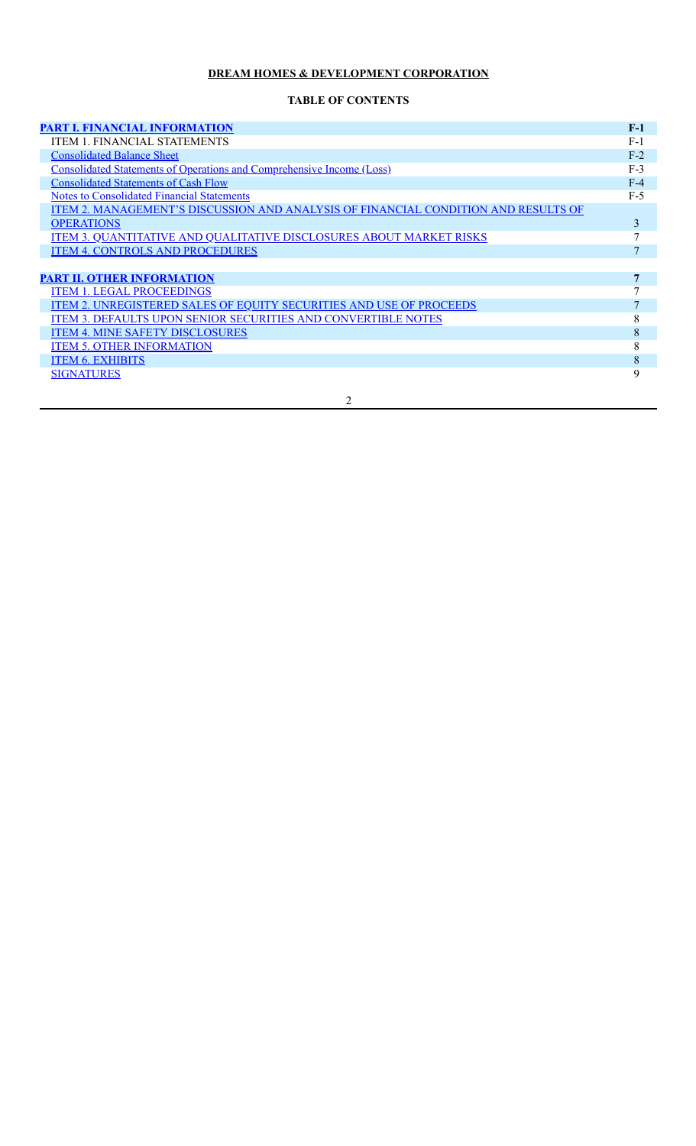### **TABLE OF CONTENTS**

| <b>PART I. FINANCIAL INFORMATION</b>                                               | $F-1$        |
|------------------------------------------------------------------------------------|--------------|
| <b>ITEM 1. FINANCIAL STATEMENTS</b>                                                | $F-1$        |
| <b>Consolidated Balance Sheet</b>                                                  | $F-2$        |
| <b>Consolidated Statements of Operations and Comprehensive Income (Loss)</b>       | $F-3$        |
| <b>Consolidated Statements of Cash Flow</b>                                        | $F-4$        |
| <b>Notes to Consolidated Financial Statements</b>                                  | $F-5$        |
| ITEM 2. MANAGEMENT'S DISCUSSION AND ANALYSIS OF FINANCIAL CONDITION AND RESULTS OF |              |
| <b>OPERATIONS</b>                                                                  | 3            |
| <b>ITEM 3. QUANTITATIVE AND QUALITATIVE DISCLOSURES ABOUT MARKET RISKS</b>         | $\mathbf{7}$ |
| <b>ITEM 4. CONTROLS AND PROCEDURES</b>                                             | 7            |
|                                                                                    |              |
| <b>PART II. OTHER INFORMATION</b>                                                  | 7            |
| ITEM 1. LEGAL PROCEEDINGS                                                          |              |
| <b>ITEM 2. UNREGISTERED SALES OF EQUITY SECURITIES AND USE OF PROCEEDS</b>         |              |
| <b>ITEM 3. DEFAULTS UPON SENIOR SECURITIES AND CONVERTIBLE NOTES</b>               | 8            |
| <b>ITEM 4. MINE SAFETY DISCLOSURES</b>                                             | 8            |
| <b>ITEM 5. OTHER INFORMATION</b>                                                   | 8            |
| <b>ITEM 6. EXHIBITS</b>                                                            | 8            |
| <b>SIGNATURES</b>                                                                  | 9            |
|                                                                                    |              |

2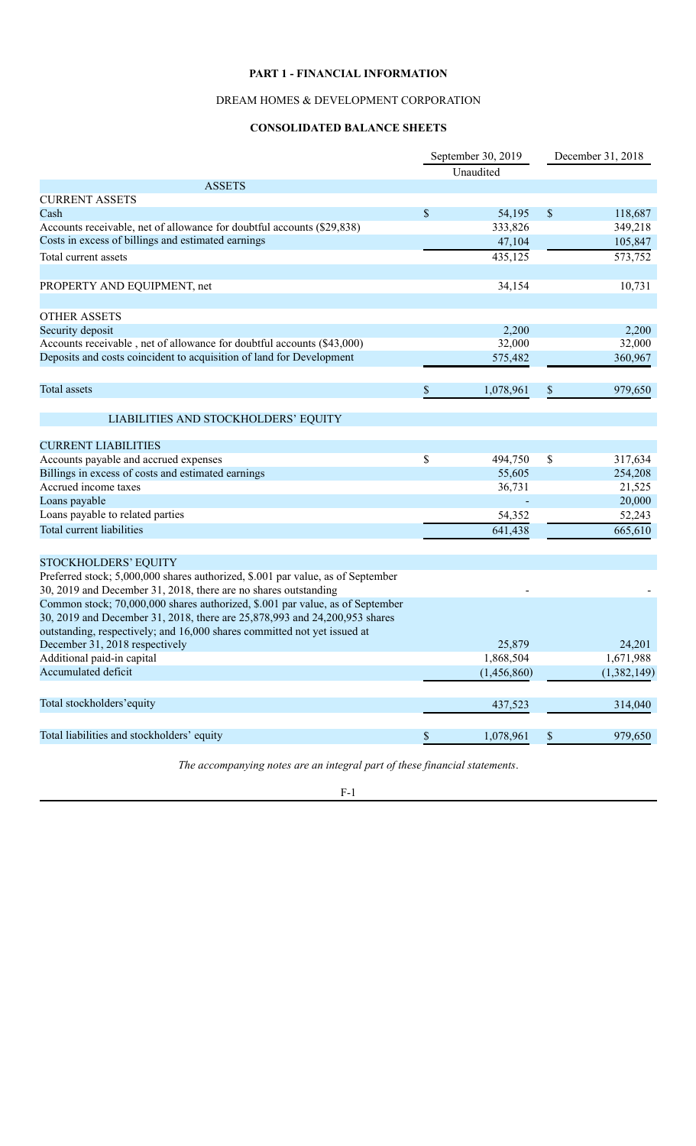### **PART 1 - FINANCIAL INFORMATION**

### DREAM HOMES & DEVELOPMENT CORPORATION

### **CONSOLIDATED BALANCE SHEETS**

<span id="page-2-1"></span><span id="page-2-0"></span>

|                                                                                                                                                             | September 30, 2019<br>Unaudited |             | December 31, 2018 |             |
|-------------------------------------------------------------------------------------------------------------------------------------------------------------|---------------------------------|-------------|-------------------|-------------|
| <b>ASSETS</b>                                                                                                                                               |                                 |             |                   |             |
| <b>CURRENT ASSETS</b>                                                                                                                                       |                                 |             |                   |             |
| Cash                                                                                                                                                        | $\boldsymbol{\mathsf{S}}$       | 54,195      | \$                | 118,687     |
| Accounts receivable, net of allowance for doubtful accounts (\$29,838)                                                                                      |                                 | 333,826     |                   | 349,218     |
| Costs in excess of billings and estimated earnings                                                                                                          |                                 | 47,104      |                   | 105,847     |
| Total current assets                                                                                                                                        |                                 | 435,125     |                   | 573,752     |
| PROPERTY AND EQUIPMENT, net                                                                                                                                 |                                 | 34,154      |                   | 10,731      |
| <b>OTHER ASSETS</b>                                                                                                                                         |                                 |             |                   |             |
| Security deposit                                                                                                                                            |                                 | 2,200       |                   | 2,200       |
| Accounts receivable, net of allowance for doubtful accounts (\$43,000)                                                                                      |                                 | 32,000      |                   | 32,000      |
| Deposits and costs coincident to acquisition of land for Development                                                                                        |                                 | 575,482     |                   | 360,967     |
| Total assets                                                                                                                                                | \$                              | 1,078,961   | \$                | 979,650     |
| LIABILITIES AND STOCKHOLDERS' EQUITY                                                                                                                        |                                 |             |                   |             |
| <b>CURRENT LIABILITIES</b>                                                                                                                                  |                                 |             |                   |             |
| Accounts payable and accrued expenses                                                                                                                       | \$                              | 494,750     | \$                | 317,634     |
| Billings in excess of costs and estimated earnings                                                                                                          |                                 | 55,605      |                   | 254,208     |
| Accrued income taxes                                                                                                                                        |                                 | 36,731      |                   | 21,525      |
| Loans payable                                                                                                                                               |                                 |             |                   | 20,000      |
| Loans payable to related parties                                                                                                                            |                                 | 54,352      |                   | 52,243      |
| Total current liabilities                                                                                                                                   |                                 | 641,438     |                   | 665,610     |
| <b>STOCKHOLDERS' EQUITY</b>                                                                                                                                 |                                 |             |                   |             |
| Preferred stock; 5,000,000 shares authorized, \$.001 par value, as of September<br>30, 2019 and December 31, 2018, there are no shares outstanding          |                                 |             |                   |             |
| Common stock; 70,000,000 shares authorized, \$.001 par value, as of September<br>30, 2019 and December 31, 2018, there are 25,878,993 and 24,200,953 shares |                                 |             |                   |             |
| outstanding, respectively; and 16,000 shares committed not yet issued at                                                                                    |                                 |             |                   |             |
| December 31, 2018 respectively                                                                                                                              |                                 | 25,879      |                   | 24,201      |
| Additional paid-in capital                                                                                                                                  |                                 | 1,868,504   |                   | 1,671,988   |
| Accumulated deficit                                                                                                                                         |                                 | (1,456,860) |                   | (1,382,149) |
| Total stockholders'equity                                                                                                                                   |                                 | 437,523     |                   | 314,040     |
| Total liabilities and stockholders' equity                                                                                                                  | \$                              | 1,078,961   | \$                | 979,650     |

*The accompanying notes are an integral part of these financial statements*.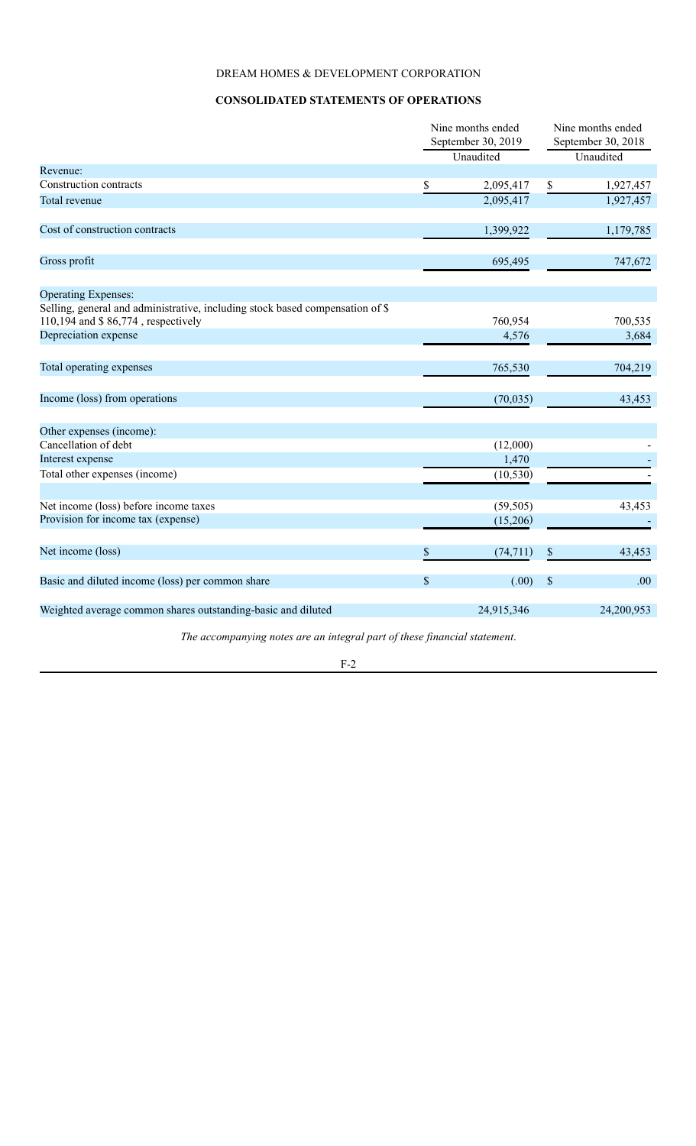### **CONSOLIDATED STATEMENTS OF OPERATIONS**

<span id="page-3-0"></span>

|                                                                                                                     | Nine months ended<br>September 30, 2019<br>Unaudited |            | Nine months ended<br>September 30, 2018 |            |
|---------------------------------------------------------------------------------------------------------------------|------------------------------------------------------|------------|-----------------------------------------|------------|
|                                                                                                                     |                                                      |            |                                         | Unaudited  |
| Revenue:                                                                                                            |                                                      |            |                                         |            |
| Construction contracts                                                                                              | \$                                                   | 2,095,417  | \$                                      | 1,927,457  |
| Total revenue                                                                                                       |                                                      | 2,095,417  |                                         | 1,927,457  |
| Cost of construction contracts                                                                                      |                                                      | 1,399,922  |                                         | 1,179,785  |
| Gross profit                                                                                                        |                                                      | 695,495    |                                         | 747,672    |
| <b>Operating Expenses:</b>                                                                                          |                                                      |            |                                         |            |
| Selling, general and administrative, including stock based compensation of \$<br>110,194 and \$86,774, respectively |                                                      | 760,954    |                                         | 700,535    |
| Depreciation expense                                                                                                |                                                      | 4,576      |                                         | 3,684      |
| Total operating expenses                                                                                            |                                                      | 765,530    |                                         | 704,219    |
| Income (loss) from operations                                                                                       |                                                      | (70, 035)  |                                         | 43,453     |
| Other expenses (income):                                                                                            |                                                      |            |                                         |            |
| Cancellation of debt                                                                                                |                                                      | (12,000)   |                                         |            |
| Interest expense                                                                                                    |                                                      | 1,470      |                                         |            |
| Total other expenses (income)                                                                                       |                                                      | (10, 530)  |                                         |            |
| Net income (loss) before income taxes                                                                               |                                                      | (59, 505)  |                                         | 43,453     |
| Provision for income tax (expense)                                                                                  |                                                      | (15,206)   |                                         |            |
| Net income (loss)                                                                                                   | \$                                                   | (74, 711)  | \$                                      | 43,453     |
| Basic and diluted income (loss) per common share                                                                    | \$                                                   | (.00)      | $\mathbb{S}$                            | .00        |
| Weighted average common shares outstanding-basic and diluted                                                        |                                                      | 24,915,346 |                                         | 24,200,953 |

*The accompanying notes are an integral part of these financial statement*.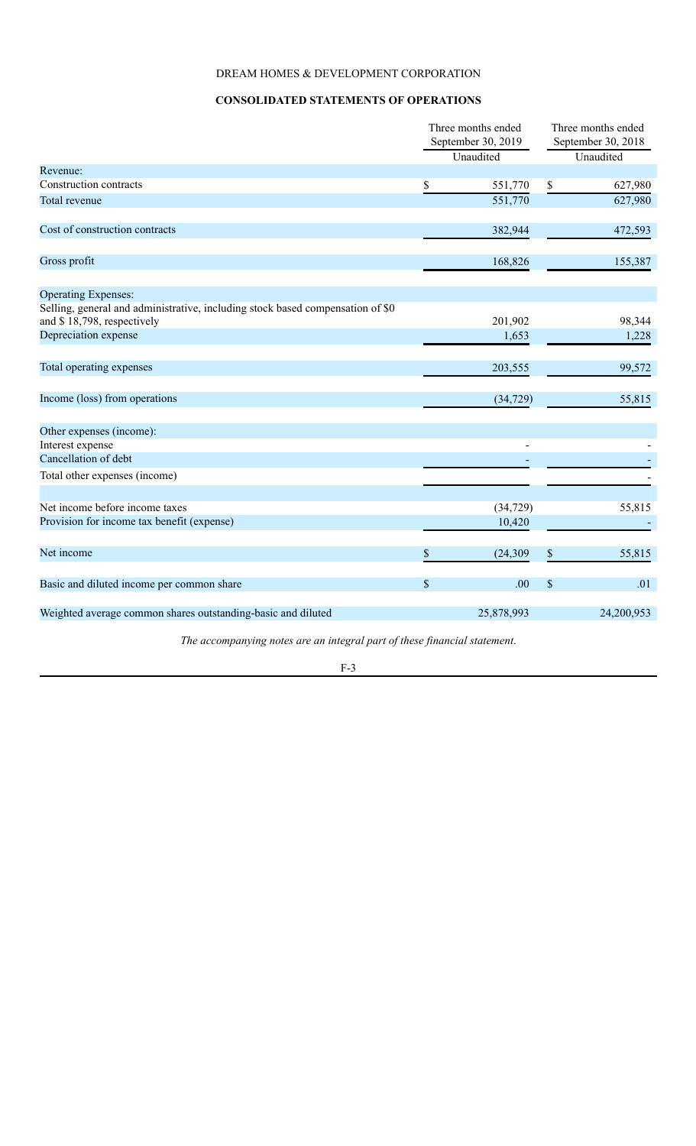### **CONSOLIDATED STATEMENTS OF OPERATIONS**

|                                                                                                              | Three months ended              |            | Three months ended |                                 |
|--------------------------------------------------------------------------------------------------------------|---------------------------------|------------|--------------------|---------------------------------|
|                                                                                                              | September 30, 2019<br>Unaudited |            |                    | September 30, 2018<br>Unaudited |
| Revenue:                                                                                                     |                                 |            |                    |                                 |
| Construction contracts                                                                                       | \$                              | 551,770    | \$                 | 627,980                         |
| Total revenue                                                                                                |                                 | 551,770    |                    | 627,980                         |
|                                                                                                              |                                 |            |                    |                                 |
| Cost of construction contracts                                                                               |                                 | 382,944    |                    | 472,593                         |
| Gross profit                                                                                                 |                                 | 168,826    |                    | 155,387                         |
| <b>Operating Expenses:</b>                                                                                   |                                 |            |                    |                                 |
| Selling, general and administrative, including stock based compensation of \$0<br>and \$18,798, respectively |                                 | 201,902    |                    | 98,344                          |
| Depreciation expense                                                                                         |                                 | 1,653      |                    | 1,228                           |
| Total operating expenses                                                                                     |                                 | 203,555    |                    | 99,572                          |
|                                                                                                              |                                 |            |                    |                                 |
| Income (loss) from operations                                                                                |                                 | (34, 729)  |                    | 55,815                          |
| Other expenses (income):                                                                                     |                                 |            |                    |                                 |
| Interest expense                                                                                             |                                 |            |                    |                                 |
| Cancellation of debt                                                                                         |                                 |            |                    |                                 |
| Total other expenses (income)                                                                                |                                 |            |                    |                                 |
| Net income before income taxes                                                                               |                                 | (34, 729)  |                    | 55,815                          |
| Provision for income tax benefit (expense)                                                                   |                                 | 10,420     |                    |                                 |
| Net income                                                                                                   | \$                              | (24, 309)  | $\mathbb S$        | 55,815                          |
| Basic and diluted income per common share                                                                    | \$                              | .00        | $\$$               | .01                             |
| Weighted average common shares outstanding-basic and diluted                                                 |                                 | 25,878,993 |                    | 24,200,953                      |
| The accompanying notes are an integral part of these financial statement.                                    |                                 |            |                    |                                 |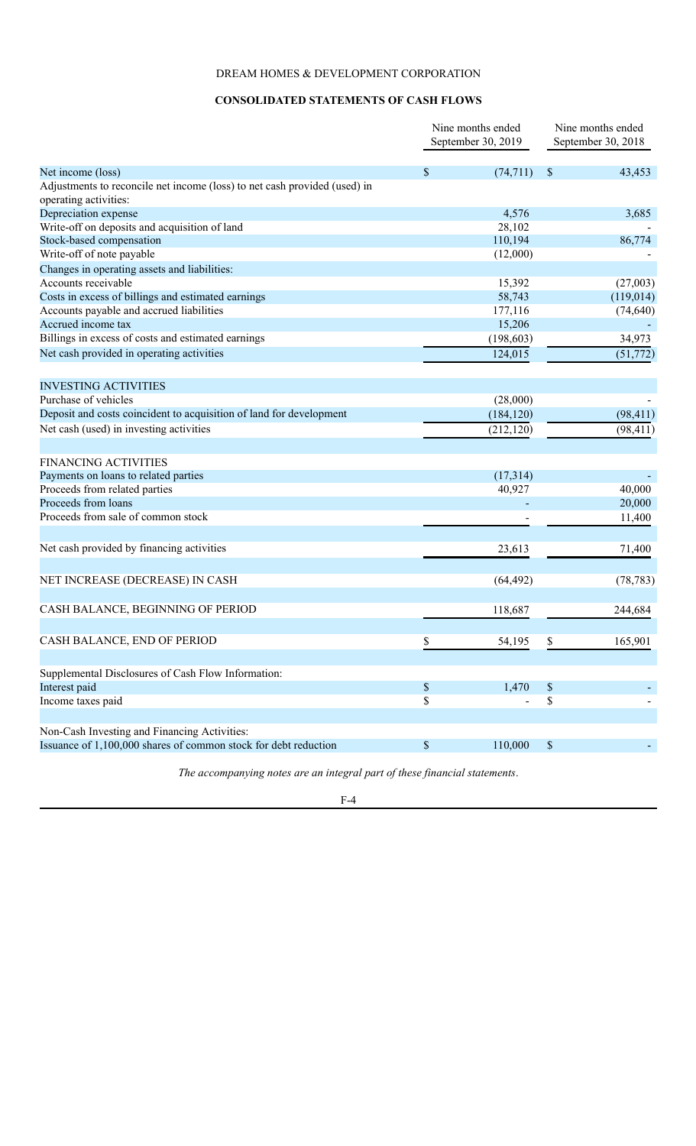### **CONSOLIDATED STATEMENTS OF CASH FLOWS**

<span id="page-5-0"></span>

|                                                                           |                           | Nine months ended<br>September 30, 2019 | Nine months ended<br>September 30, 2018 |  |
|---------------------------------------------------------------------------|---------------------------|-----------------------------------------|-----------------------------------------|--|
| Net income (loss)                                                         | <sup>\$</sup>             | (74, 711)                               | 43,453<br><sup>\$</sup>                 |  |
| Adjustments to reconcile net income (loss) to net cash provided (used) in |                           |                                         |                                         |  |
| operating activities:                                                     |                           |                                         |                                         |  |
| Depreciation expense                                                      |                           | 4,576                                   | 3,685                                   |  |
| Write-off on deposits and acquisition of land                             |                           | 28,102                                  |                                         |  |
| Stock-based compensation                                                  |                           | 110,194                                 | 86,774                                  |  |
| Write-off of note payable                                                 |                           | (12,000)                                |                                         |  |
| Changes in operating assets and liabilities:                              |                           |                                         |                                         |  |
| Accounts receivable                                                       |                           | 15,392                                  | (27,003)                                |  |
| Costs in excess of billings and estimated earnings                        |                           | 58,743                                  | (119,014)                               |  |
| Accounts payable and accrued liabilities                                  |                           | 177,116                                 | (74, 640)                               |  |
| Accrued income tax                                                        |                           | 15,206                                  |                                         |  |
| Billings in excess of costs and estimated earnings                        |                           | (198, 603)                              | 34,973                                  |  |
| Net cash provided in operating activities                                 |                           | 124,015                                 | (51, 772)                               |  |
| <b>INVESTING ACTIVITIES</b>                                               |                           |                                         |                                         |  |
| Purchase of vehicles                                                      |                           | (28,000)                                |                                         |  |
| Deposit and costs coincident to acquisition of land for development       |                           | (184, 120)                              | (98, 411)                               |  |
| Net cash (used) in investing activities                                   |                           | (212, 120)                              | (98, 411)                               |  |
| <b>FINANCING ACTIVITIES</b>                                               |                           |                                         |                                         |  |
| Payments on loans to related parties                                      |                           | (17,314)                                |                                         |  |
| Proceeds from related parties                                             |                           | 40,927                                  | 40,000                                  |  |
| Proceeds from loans                                                       |                           | ÷.                                      | 20,000                                  |  |
| Proceeds from sale of common stock                                        |                           |                                         | 11,400                                  |  |
| Net cash provided by financing activities                                 |                           | 23,613                                  | 71,400                                  |  |
|                                                                           |                           |                                         |                                         |  |
| NET INCREASE (DECREASE) IN CASH                                           |                           | (64, 492)                               | (78, 783)                               |  |
| CASH BALANCE, BEGINNING OF PERIOD                                         |                           | 118,687                                 | 244,684                                 |  |
| CASH BALANCE, END OF PERIOD                                               | \$                        | 54,195                                  | \$<br>165,901                           |  |
| Supplemental Disclosures of Cash Flow Information:                        |                           |                                         |                                         |  |
| Interest paid                                                             | $\boldsymbol{\mathsf{S}}$ | 1,470                                   | $\boldsymbol{\mathsf{S}}$               |  |
| Income taxes paid                                                         | \$                        |                                         | \$                                      |  |
| Non-Cash Investing and Financing Activities:                              |                           |                                         |                                         |  |
| Issuance of 1,100,000 shares of common stock for debt reduction           | $\boldsymbol{\mathsf{S}}$ | 110,000                                 | \$                                      |  |

*The accompanying notes are an integral part of these financial statements*.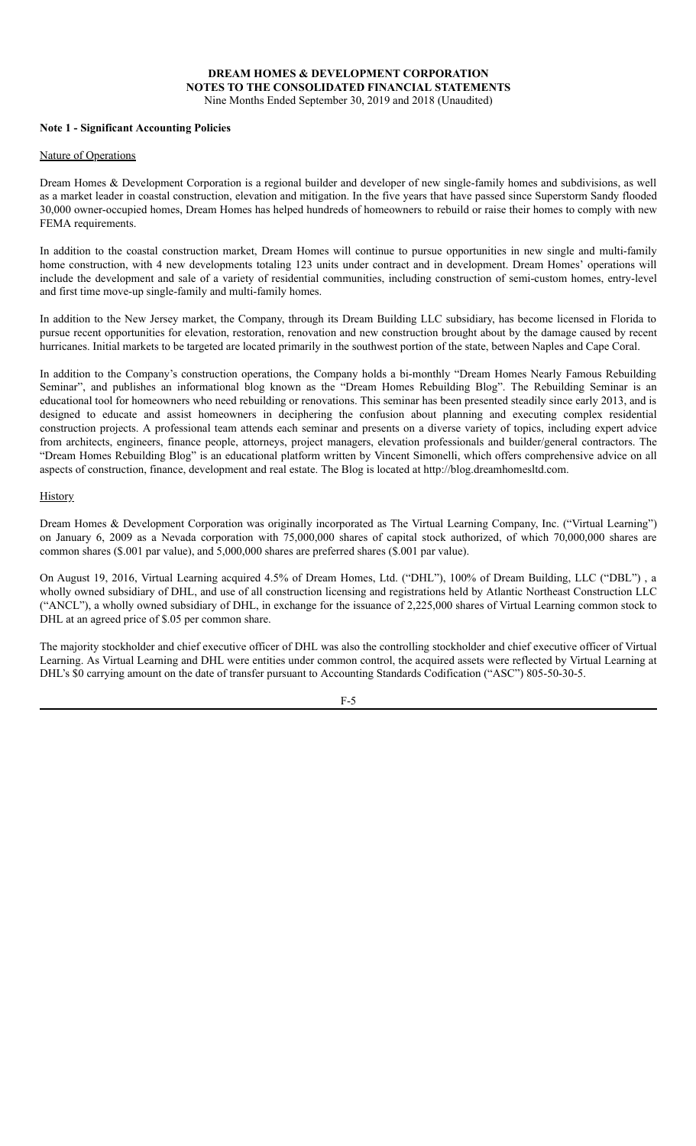# **DREAM HOMES & DEVELOPMENT CORPORATION NOTES TO THE CONSOLIDATED FINANCIAL STATEMENTS**

Nine Months Ended September 30, 2019 and 2018 (Unaudited)

#### <span id="page-6-0"></span>**Note 1 - Significant Accounting Policies**

#### Nature of Operations

Dream Homes & Development Corporation is a regional builder and developer of new single-family homes and subdivisions, as well as a market leader in coastal construction, elevation and mitigation. In the five years that have passed since Superstorm Sandy flooded 30,000 owner-occupied homes, Dream Homes has helped hundreds of homeowners to rebuild or raise their homes to comply with new FEMA requirements.

In addition to the coastal construction market, Dream Homes will continue to pursue opportunities in new single and multi-family home construction, with 4 new developments totaling 123 units under contract and in development. Dream Homes' operations will include the development and sale of a variety of residential communities, including construction of semi-custom homes, entry-level and first time move-up single-family and multi-family homes.

In addition to the New Jersey market, the Company, through its Dream Building LLC subsidiary, has become licensed in Florida to pursue recent opportunities for elevation, restoration, renovation and new construction brought about by the damage caused by recent hurricanes. Initial markets to be targeted are located primarily in the southwest portion of the state, between Naples and Cape Coral.

In addition to the Company's construction operations, the Company holds a bi-monthly "Dream Homes Nearly Famous Rebuilding Seminar", and publishes an informational blog known as the "Dream Homes Rebuilding Blog". The Rebuilding Seminar is an educational tool for homeowners who need rebuilding or renovations. This seminar has been presented steadily since early 2013, and is designed to educate and assist homeowners in deciphering the confusion about planning and executing complex residential construction projects. A professional team attends each seminar and presents on a diverse variety of topics, including expert advice from architects, engineers, finance people, attorneys, project managers, elevation professionals and builder/general contractors. The "Dream Homes Rebuilding Blog" is an educational platform written by Vincent Simonelli, which offers comprehensive advice on all aspects of construction, finance, development and real estate. The Blog is located at http://blog.dreamhomesltd.com.

#### **History**

Dream Homes & Development Corporation was originally incorporated as The Virtual Learning Company, Inc. ("Virtual Learning") on January 6, 2009 as a Nevada corporation with 75,000,000 shares of capital stock authorized, of which 70,000,000 shares are common shares (\$.001 par value), and 5,000,000 shares are preferred shares (\$.001 par value).

On August 19, 2016, Virtual Learning acquired 4.5% of Dream Homes, Ltd. ("DHL"), 100% of Dream Building, LLC ("DBL") , a wholly owned subsidiary of DHL, and use of all construction licensing and registrations held by Atlantic Northeast Construction LLC ("ANCL"), a wholly owned subsidiary of DHL, in exchange for the issuance of 2,225,000 shares of Virtual Learning common stock to DHL at an agreed price of \$.05 per common share.

The majority stockholder and chief executive officer of DHL was also the controlling stockholder and chief executive officer of Virtual Learning. As Virtual Learning and DHL were entities under common control, the acquired assets were reflected by Virtual Learning at DHL's \$0 carrying amount on the date of transfer pursuant to Accounting Standards Codification ("ASC") 805-50-30-5.

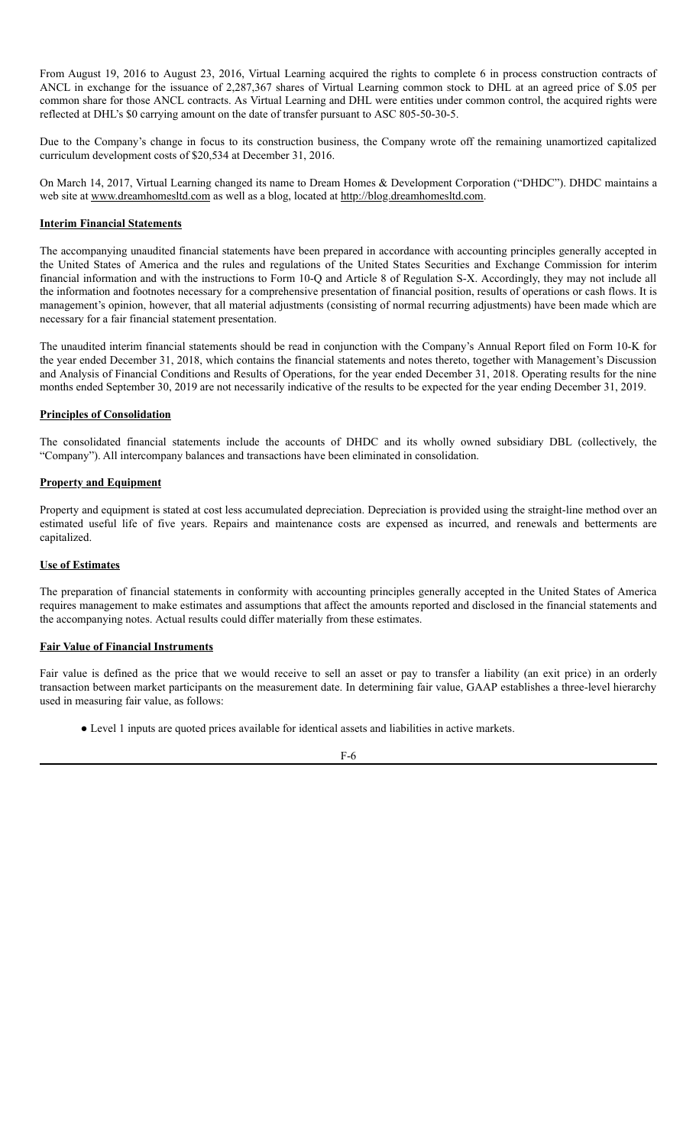From August 19, 2016 to August 23, 2016, Virtual Learning acquired the rights to complete 6 in process construction contracts of ANCL in exchange for the issuance of 2,287,367 shares of Virtual Learning common stock to DHL at an agreed price of \$.05 per common share for those ANCL contracts. As Virtual Learning and DHL were entities under common control, the acquired rights were reflected at DHL's \$0 carrying amount on the date of transfer pursuant to ASC 805-50-30-5.

Due to the Company's change in focus to its construction business, the Company wrote off the remaining unamortized capitalized curriculum development costs of \$20,534 at December 31, 2016.

On March 14, 2017, Virtual Learning changed its name to Dream Homes & Development Corporation ("DHDC"). DHDC maintains a web site at www.dreamhomesltd.com as well as a blog, located at http://blog.dreamhomesltd.com.

#### **Interim Financial Statements**

The accompanying unaudited financial statements have been prepared in accordance with accounting principles generally accepted in the United States of America and the rules and regulations of the United States Securities and Exchange Commission for interim financial information and with the instructions to Form 10-Q and Article 8 of Regulation S-X. Accordingly, they may not include all the information and footnotes necessary for a comprehensive presentation of financial position, results of operations or cash flows. It is management's opinion, however, that all material adjustments (consisting of normal recurring adjustments) have been made which are necessary for a fair financial statement presentation.

The unaudited interim financial statements should be read in conjunction with the Company's Annual Report filed on Form 10-K for the year ended December 31, 2018, which contains the financial statements and notes thereto, together with Management's Discussion and Analysis of Financial Conditions and Results of Operations, for the year ended December 31, 2018. Operating results for the nine months ended September 30, 2019 are not necessarily indicative of the results to be expected for the year ending December 31, 2019.

### **Principles of Consolidation**

The consolidated financial statements include the accounts of DHDC and its wholly owned subsidiary DBL (collectively, the "Company"). All intercompany balances and transactions have been eliminated in consolidation.

#### **Property and Equipment**

Property and equipment is stated at cost less accumulated depreciation. Depreciation is provided using the straight-line method over an estimated useful life of five years. Repairs and maintenance costs are expensed as incurred, and renewals and betterments are capitalized.

#### **Use of Estimates**

The preparation of financial statements in conformity with accounting principles generally accepted in the United States of America requires management to make estimates and assumptions that affect the amounts reported and disclosed in the financial statements and the accompanying notes. Actual results could differ materially from these estimates.

#### **Fair Value of Financial Instruments**

Fair value is defined as the price that we would receive to sell an asset or pay to transfer a liability (an exit price) in an orderly transaction between market participants on the measurement date. In determining fair value, GAAP establishes a three-level hierarchy used in measuring fair value, as follows:

● Level 1 inputs are quoted prices available for identical assets and liabilities in active markets.

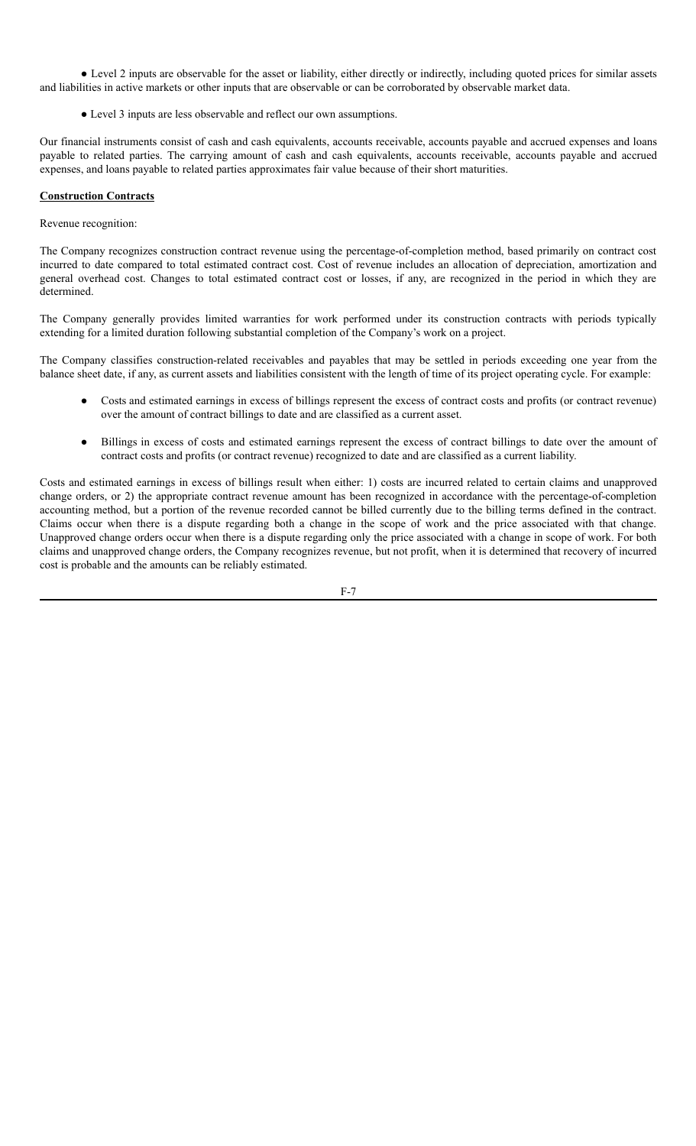● Level 2 inputs are observable for the asset or liability, either directly or indirectly, including quoted prices for similar assets and liabilities in active markets or other inputs that are observable or can be corroborated by observable market data.

● Level 3 inputs are less observable and reflect our own assumptions.

Our financial instruments consist of cash and cash equivalents, accounts receivable, accounts payable and accrued expenses and loans payable to related parties. The carrying amount of cash and cash equivalents, accounts receivable, accounts payable and accrued expenses, and loans payable to related parties approximates fair value because of their short maturities.

### **Construction Contracts**

Revenue recognition:

The Company recognizes construction contract revenue using the percentage-of-completion method, based primarily on contract cost incurred to date compared to total estimated contract cost. Cost of revenue includes an allocation of depreciation, amortization and general overhead cost. Changes to total estimated contract cost or losses, if any, are recognized in the period in which they are determined.

The Company generally provides limited warranties for work performed under its construction contracts with periods typically extending for a limited duration following substantial completion of the Company's work on a project.

The Company classifies construction-related receivables and payables that may be settled in periods exceeding one year from the balance sheet date, if any, as current assets and liabilities consistent with the length of time of its project operating cycle. For example:

- Costs and estimated earnings in excess of billings represent the excess of contract costs and profits (or contract revenue) over the amount of contract billings to date and are classified as a current asset.
- Billings in excess of costs and estimated earnings represent the excess of contract billings to date over the amount of contract costs and profits (or contract revenue) recognized to date and are classified as a current liability.

Costs and estimated earnings in excess of billings result when either: 1) costs are incurred related to certain claims and unapproved change orders, or 2) the appropriate contract revenue amount has been recognized in accordance with the percentage-of-completion accounting method, but a portion of the revenue recorded cannot be billed currently due to the billing terms defined in the contract. Claims occur when there is a dispute regarding both a change in the scope of work and the price associated with that change. Unapproved change orders occur when there is a dispute regarding only the price associated with a change in scope of work. For both claims and unapproved change orders, the Company recognizes revenue, but not profit, when it is determined that recovery of incurred cost is probable and the amounts can be reliably estimated.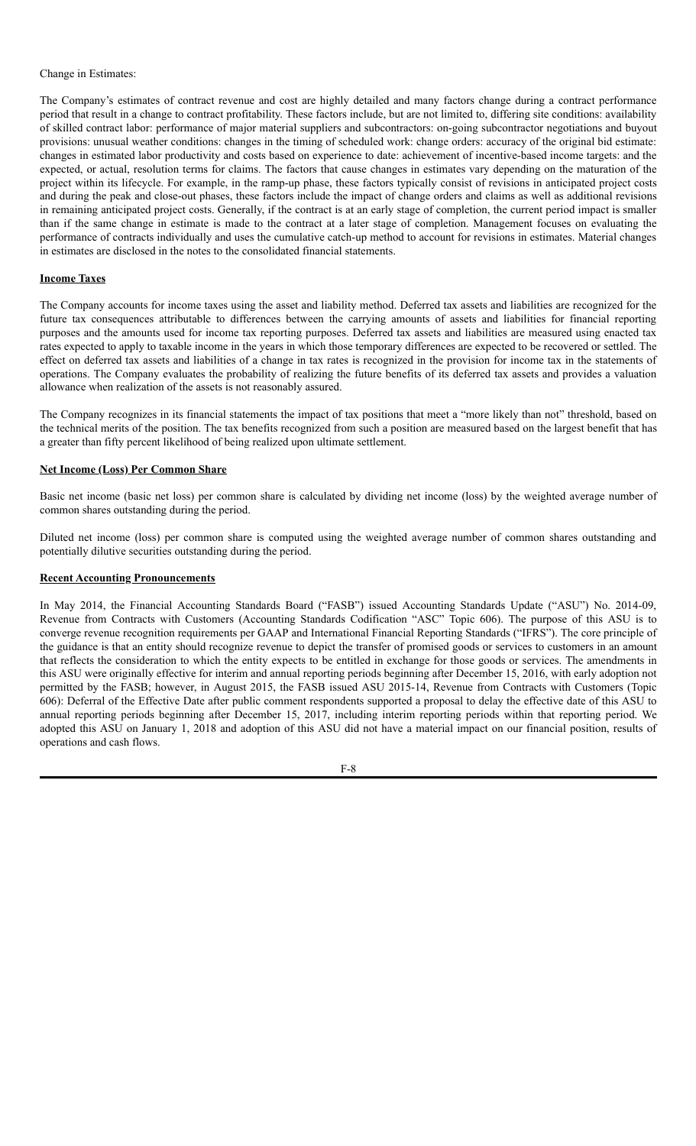#### Change in Estimates:

The Company's estimates of contract revenue and cost are highly detailed and many factors change during a contract performance period that result in a change to contract profitability. These factors include, but are not limited to, differing site conditions: availability of skilled contract labor: performance of major material suppliers and subcontractors: on-going subcontractor negotiations and buyout provisions: unusual weather conditions: changes in the timing of scheduled work: change orders: accuracy of the original bid estimate: changes in estimated labor productivity and costs based on experience to date: achievement of incentive-based income targets: and the expected, or actual, resolution terms for claims. The factors that cause changes in estimates vary depending on the maturation of the project within its lifecycle. For example, in the ramp-up phase, these factors typically consist of revisions in anticipated project costs and during the peak and close-out phases, these factors include the impact of change orders and claims as well as additional revisions in remaining anticipated project costs. Generally, if the contract is at an early stage of completion, the current period impact is smaller than if the same change in estimate is made to the contract at a later stage of completion. Management focuses on evaluating the performance of contracts individually and uses the cumulative catch-up method to account for revisions in estimates. Material changes in estimates are disclosed in the notes to the consolidated financial statements.

#### **Income Taxes**

The Company accounts for income taxes using the asset and liability method. Deferred tax assets and liabilities are recognized for the future tax consequences attributable to differences between the carrying amounts of assets and liabilities for financial reporting purposes and the amounts used for income tax reporting purposes. Deferred tax assets and liabilities are measured using enacted tax rates expected to apply to taxable income in the years in which those temporary differences are expected to be recovered or settled. The effect on deferred tax assets and liabilities of a change in tax rates is recognized in the provision for income tax in the statements of operations. The Company evaluates the probability of realizing the future benefits of its deferred tax assets and provides a valuation allowance when realization of the assets is not reasonably assured.

The Company recognizes in its financial statements the impact of tax positions that meet a "more likely than not" threshold, based on the technical merits of the position. The tax benefits recognized from such a position are measured based on the largest benefit that has a greater than fifty percent likelihood of being realized upon ultimate settlement.

#### **Net Income (Loss) Per Common Share**

Basic net income (basic net loss) per common share is calculated by dividing net income (loss) by the weighted average number of common shares outstanding during the period.

Diluted net income (loss) per common share is computed using the weighted average number of common shares outstanding and potentially dilutive securities outstanding during the period.

#### **Recent Accounting Pronouncements**

In May 2014, the Financial Accounting Standards Board ("FASB") issued Accounting Standards Update ("ASU") No. 2014-09, Revenue from Contracts with Customers (Accounting Standards Codification "ASC" Topic 606). The purpose of this ASU is to converge revenue recognition requirements per GAAP and International Financial Reporting Standards ("IFRS"). The core principle of the guidance is that an entity should recognize revenue to depict the transfer of promised goods or services to customers in an amount that reflects the consideration to which the entity expects to be entitled in exchange for those goods or services. The amendments in this ASU were originally effective for interim and annual reporting periods beginning after December 15, 2016, with early adoption not permitted by the FASB; however, in August 2015, the FASB issued ASU 2015-14, Revenue from Contracts with Customers (Topic 606): Deferral of the Effective Date after public comment respondents supported a proposal to delay the effective date of this ASU to annual reporting periods beginning after December 15, 2017, including interim reporting periods within that reporting period. We adopted this ASU on January 1, 2018 and adoption of this ASU did not have a material impact on our financial position, results of operations and cash flows.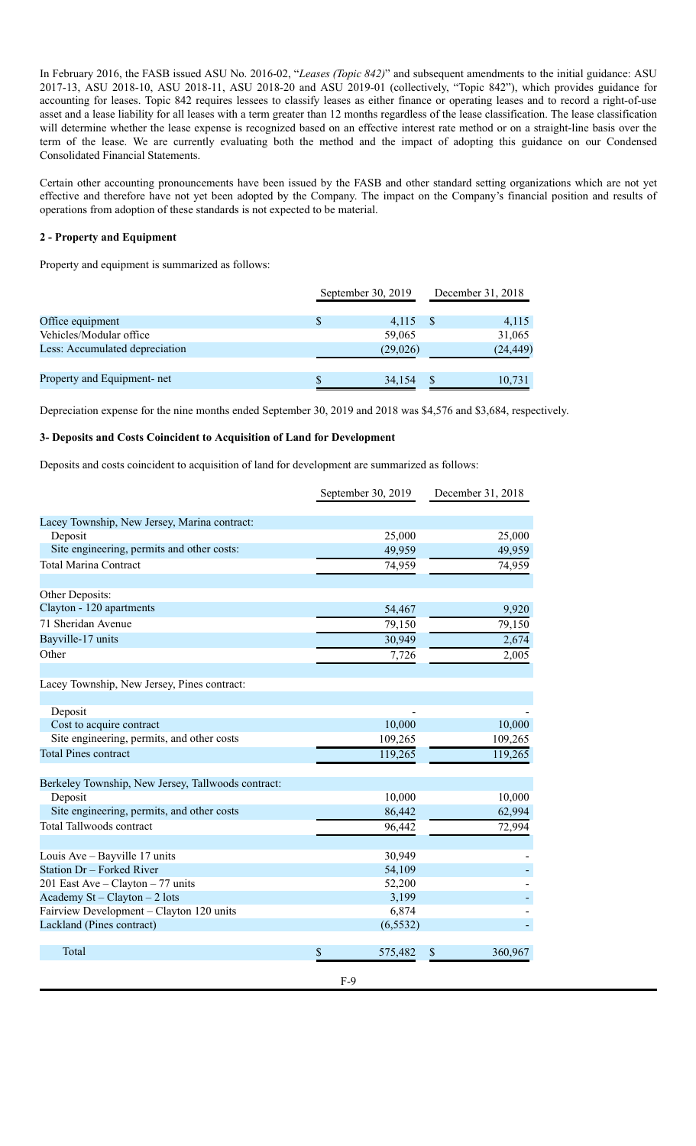In February 2016, the FASB issued ASU No. 2016-02, "*Leases (Topic 842)*" and subsequent amendments to the initial guidance: ASU 2017-13, ASU 2018-10, ASU 2018-11, ASU 2018-20 and ASU 2019-01 (collectively, "Topic 842"), which provides guidance for accounting for leases. Topic 842 requires lessees to classify leases as either finance or operating leases and to record a right-of-use asset and a lease liability for all leases with a term greater than 12 months regardless of the lease classification. The lease classification will determine whether the lease expense is recognized based on an effective interest rate method or on a straight-line basis over the term of the lease. We are currently evaluating both the method and the impact of adopting this guidance on our Condensed Consolidated Financial Statements.

Certain other accounting pronouncements have been issued by the FASB and other standard setting organizations which are not yet effective and therefore have not yet been adopted by the Company. The impact on the Company's financial position and results of operations from adoption of these standards is not expected to be material.

#### **2 - Property and Equipment**

Property and equipment is summarized as follows:

|                                | September 30, 2019 | December 31, 2018 |           |  |
|--------------------------------|--------------------|-------------------|-----------|--|
|                                |                    |                   |           |  |
| Office equipment               | 4,115              |                   | 4,115     |  |
| Vehicles/Modular office        | 59,065             |                   | 31,065    |  |
| Less: Accumulated depreciation | (29,026)           |                   | (24, 449) |  |
| Property and Equipment- net    | 34,154             |                   | 10,731    |  |

Depreciation expense for the nine months ended September 30, 2019 and 2018 was \$4,576 and \$3,684, respectively.

#### **3- Deposits and Costs Coincident to Acquisition of Land for Development**

Deposits and costs coincident to acquisition of land for development are summarized as follows:

|                                                    |       | September 30, 2019 | December 31, 2018 |
|----------------------------------------------------|-------|--------------------|-------------------|
| Lacey Township, New Jersey, Marina contract:       |       |                    |                   |
| Deposit                                            |       | 25,000             | 25,000            |
| Site engineering, permits and other costs:         |       | 49,959             | 49,959            |
| <b>Total Marina Contract</b>                       |       | 74,959             | 74,959            |
|                                                    |       |                    |                   |
| Other Deposits:                                    |       |                    |                   |
| Clayton - 120 apartments                           |       | 54,467             | 9,920             |
| 71 Sheridan Avenue                                 |       | 79,150             | 79,150            |
| Bayville-17 units                                  |       | 30,949             | 2,674             |
| Other                                              |       | 7,726              | 2,005             |
| Lacey Township, New Jersey, Pines contract:        |       |                    |                   |
| Deposit                                            |       |                    |                   |
| Cost to acquire contract                           |       | 10,000             | 10,000            |
| Site engineering, permits, and other costs         |       | 109,265            | 109,265           |
| <b>Total Pines contract</b>                        |       | 119,265            | 119,265           |
| Berkeley Township, New Jersey, Tallwoods contract: |       |                    |                   |
| Deposit                                            |       | 10,000             | 10,000            |
| Site engineering, permits, and other costs         |       | 86,442             | 62,994            |
| <b>Total Tallwoods contract</b>                    |       | 96,442             | 72,994            |
|                                                    |       |                    |                   |
| Louis Ave - Bayville 17 units                      |       | 30,949             |                   |
| Station Dr - Forked River                          |       | 54,109             |                   |
| 201 East Ave - Clayton - 77 units                  |       | 52,200             |                   |
| Academy $St - Clayton - 2$ lots                    |       | 3,199              |                   |
| Fairview Development - Clayton 120 units           |       | 6,874              |                   |
| Lackland (Pines contract)                          |       | (6, 5532)          |                   |
| Total                                              | \$    | 575,482            | \$<br>360,967     |
|                                                    | $F-9$ |                    |                   |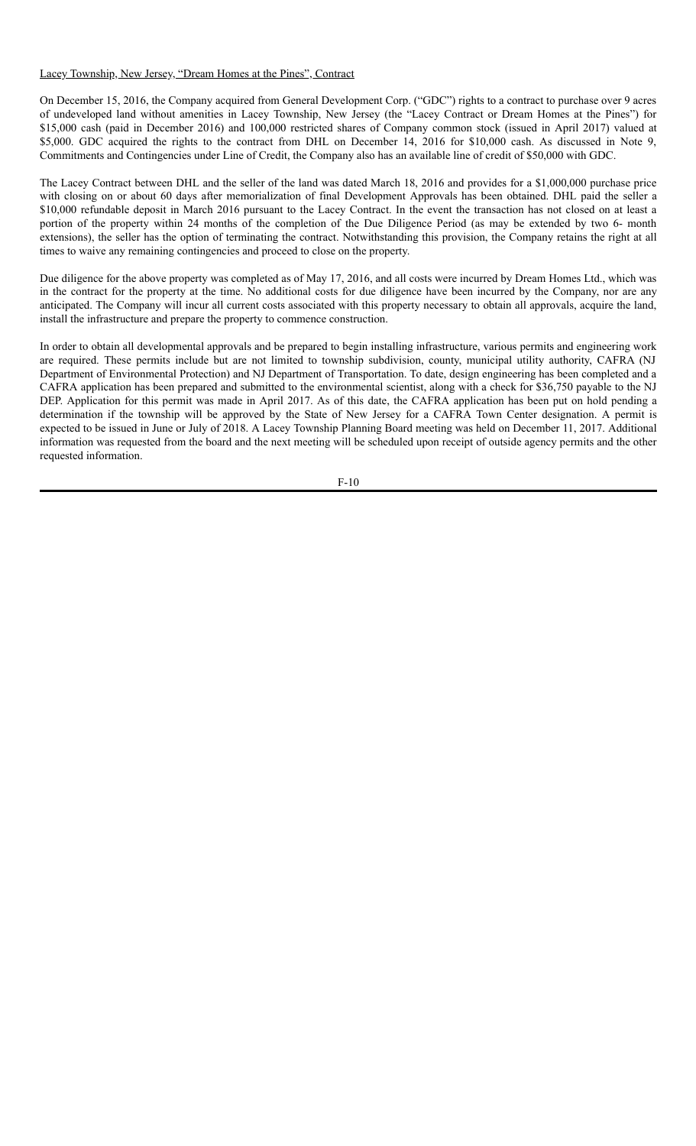#### Lacey Township, New Jersey, "Dream Homes at the Pines", Contract

On December 15, 2016, the Company acquired from General Development Corp. ("GDC") rights to a contract to purchase over 9 acres of undeveloped land without amenities in Lacey Township, New Jersey (the "Lacey Contract or Dream Homes at the Pines") for \$15,000 cash (paid in December 2016) and 100,000 restricted shares of Company common stock (issued in April 2017) valued at \$5,000. GDC acquired the rights to the contract from DHL on December 14, 2016 for \$10,000 cash. As discussed in Note 9, Commitments and Contingencies under Line of Credit, the Company also has an available line of credit of \$50,000 with GDC.

The Lacey Contract between DHL and the seller of the land was dated March 18, 2016 and provides for a \$1,000,000 purchase price with closing on or about 60 days after memorialization of final Development Approvals has been obtained. DHL paid the seller a \$10,000 refundable deposit in March 2016 pursuant to the Lacey Contract. In the event the transaction has not closed on at least a portion of the property within 24 months of the completion of the Due Diligence Period (as may be extended by two 6- month extensions), the seller has the option of terminating the contract. Notwithstanding this provision, the Company retains the right at all times to waive any remaining contingencies and proceed to close on the property.

Due diligence for the above property was completed as of May 17, 2016, and all costs were incurred by Dream Homes Ltd., which was in the contract for the property at the time. No additional costs for due diligence have been incurred by the Company, nor are any anticipated. The Company will incur all current costs associated with this property necessary to obtain all approvals, acquire the land, install the infrastructure and prepare the property to commence construction.

In order to obtain all developmental approvals and be prepared to begin installing infrastructure, various permits and engineering work are required. These permits include but are not limited to township subdivision, county, municipal utility authority, CAFRA (NJ Department of Environmental Protection) and NJ Department of Transportation. To date, design engineering has been completed and a CAFRA application has been prepared and submitted to the environmental scientist, along with a check for \$36,750 payable to the NJ DEP. Application for this permit was made in April 2017. As of this date, the CAFRA application has been put on hold pending a determination if the township will be approved by the State of New Jersey for a CAFRA Town Center designation. A permit is expected to be issued in June or July of 2018. A Lacey Township Planning Board meeting was held on December 11, 2017. Additional information was requested from the board and the next meeting will be scheduled upon receipt of outside agency permits and the other requested information.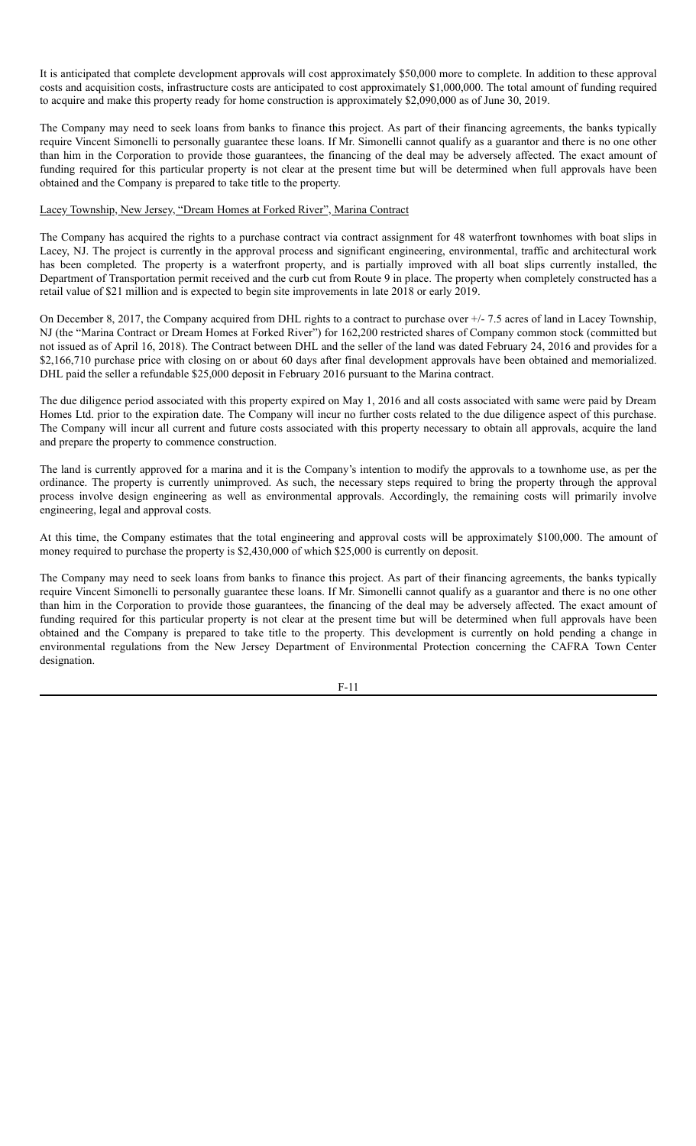It is anticipated that complete development approvals will cost approximately \$50,000 more to complete. In addition to these approval costs and acquisition costs, infrastructure costs are anticipated to cost approximately \$1,000,000. The total amount of funding required to acquire and make this property ready for home construction is approximately \$2,090,000 as of June 30, 2019.

The Company may need to seek loans from banks to finance this project. As part of their financing agreements, the banks typically require Vincent Simonelli to personally guarantee these loans. If Mr. Simonelli cannot qualify as a guarantor and there is no one other than him in the Corporation to provide those guarantees, the financing of the deal may be adversely affected. The exact amount of funding required for this particular property is not clear at the present time but will be determined when full approvals have been obtained and the Company is prepared to take title to the property.

#### Lacey Township, New Jersey, "Dream Homes at Forked River", Marina Contract

The Company has acquired the rights to a purchase contract via contract assignment for 48 waterfront townhomes with boat slips in Lacey, NJ. The project is currently in the approval process and significant engineering, environmental, traffic and architectural work has been completed. The property is a waterfront property, and is partially improved with all boat slips currently installed, the Department of Transportation permit received and the curb cut from Route 9 in place. The property when completely constructed has a retail value of \$21 million and is expected to begin site improvements in late 2018 or early 2019.

On December 8, 2017, the Company acquired from DHL rights to a contract to purchase over +/- 7.5 acres of land in Lacey Township, NJ (the "Marina Contract or Dream Homes at Forked River") for 162,200 restricted shares of Company common stock (committed but not issued as of April 16, 2018). The Contract between DHL and the seller of the land was dated February 24, 2016 and provides for a \$2,166,710 purchase price with closing on or about 60 days after final development approvals have been obtained and memorialized. DHL paid the seller a refundable \$25,000 deposit in February 2016 pursuant to the Marina contract.

The due diligence period associated with this property expired on May 1, 2016 and all costs associated with same were paid by Dream Homes Ltd. prior to the expiration date. The Company will incur no further costs related to the due diligence aspect of this purchase. The Company will incur all current and future costs associated with this property necessary to obtain all approvals, acquire the land and prepare the property to commence construction.

The land is currently approved for a marina and it is the Company's intention to modify the approvals to a townhome use, as per the ordinance. The property is currently unimproved. As such, the necessary steps required to bring the property through the approval process involve design engineering as well as environmental approvals. Accordingly, the remaining costs will primarily involve engineering, legal and approval costs.

At this time, the Company estimates that the total engineering and approval costs will be approximately \$100,000. The amount of money required to purchase the property is \$2,430,000 of which \$25,000 is currently on deposit.

The Company may need to seek loans from banks to finance this project. As part of their financing agreements, the banks typically require Vincent Simonelli to personally guarantee these loans. If Mr. Simonelli cannot qualify as a guarantor and there is no one other than him in the Corporation to provide those guarantees, the financing of the deal may be adversely affected. The exact amount of funding required for this particular property is not clear at the present time but will be determined when full approvals have been obtained and the Company is prepared to take title to the property. This development is currently on hold pending a change in environmental regulations from the New Jersey Department of Environmental Protection concerning the CAFRA Town Center designation.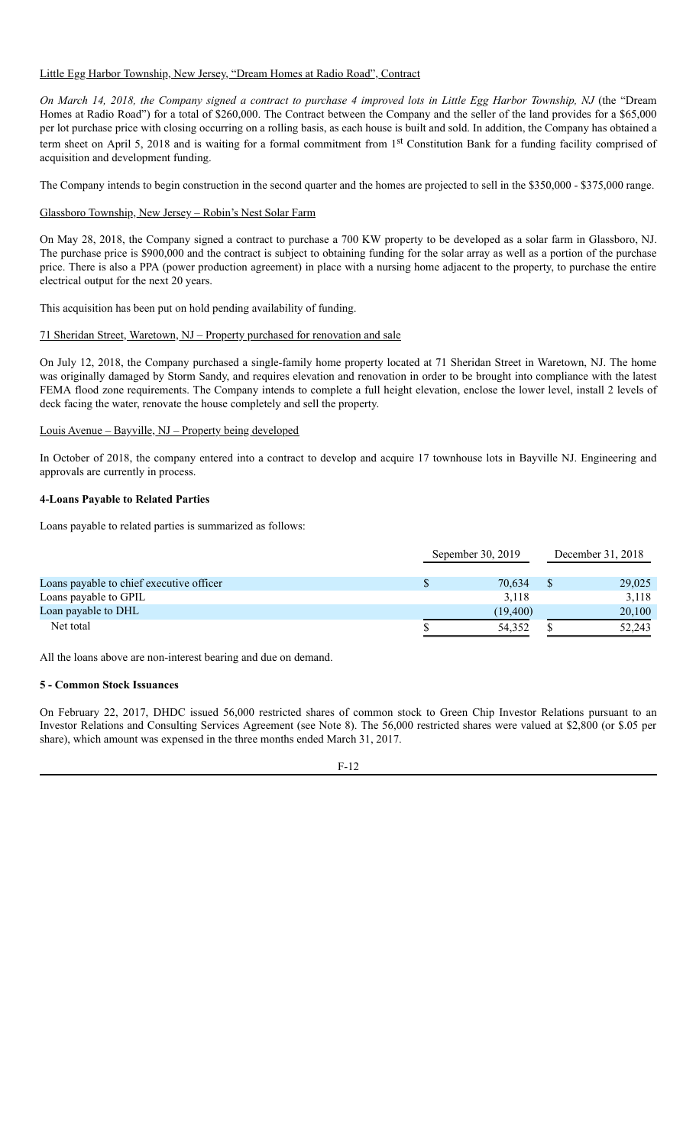Little Egg Harbor Township, New Jersey, "Dream Homes at Radio Road", Contract

On March 14, 2018, the Company signed a contract to purchase 4 improved lots in Little Egg Harbor Township, NJ (the "Dream Homes at Radio Road") for a total of \$260,000. The Contract between the Company and the seller of the land provides for a \$65,000 per lot purchase price with closing occurring on a rolling basis, as each house is built and sold. In addition, the Company has obtained a term sheet on April 5, 2018 and is waiting for a formal commitment from 1<sup>st</sup> Constitution Bank for a funding facility comprised of acquisition and development funding.

The Company intends to begin construction in the second quarter and the homes are projected to sell in the \$350,000 - \$375,000 range.

Glassboro Township, New Jersey – Robin's Nest Solar Farm

On May 28, 2018, the Company signed a contract to purchase a 700 KW property to be developed as a solar farm in Glassboro, NJ. The purchase price is \$900,000 and the contract is subject to obtaining funding for the solar array as well as a portion of the purchase price. There is also a PPA (power production agreement) in place with a nursing home adjacent to the property, to purchase the entire electrical output for the next 20 years.

This acquisition has been put on hold pending availability of funding.

#### 71 Sheridan Street, Waretown, NJ – Property purchased for renovation and sale

On July 12, 2018, the Company purchased a single-family home property located at 71 Sheridan Street in Waretown, NJ. The home was originally damaged by Storm Sandy, and requires elevation and renovation in order to be brought into compliance with the latest FEMA flood zone requirements. The Company intends to complete a full height elevation, enclose the lower level, install 2 levels of deck facing the water, renovate the house completely and sell the property.

#### Louis Avenue – Bayville, NJ – Property being developed

In October of 2018, the company entered into a contract to develop and acquire 17 townhouse lots in Bayville NJ. Engineering and approvals are currently in process.

#### **4-Loans Payable to Related Parties**

Loans payable to related parties is summarized as follows:

|                                          | Sepember 30, 2019 | December 31, 2018 |        |  |
|------------------------------------------|-------------------|-------------------|--------|--|
| Loans payable to chief executive officer | 70.634            |                   | 29,025 |  |
| Loans payable to GPIL                    | 3.118             |                   | 3,118  |  |
| Loan payable to DHL                      | (19, 400)         |                   | 20,100 |  |
| Net total                                | 54,352            |                   | 52,243 |  |

All the loans above are non-interest bearing and due on demand.

### **5 - Common Stock Issuances**

On February 22, 2017, DHDC issued 56,000 restricted shares of common stock to Green Chip Investor Relations pursuant to an Investor Relations and Consulting Services Agreement (see Note 8). The 56,000 restricted shares were valued at \$2,800 (or \$.05 per share), which amount was expensed in the three months ended March 31, 2017.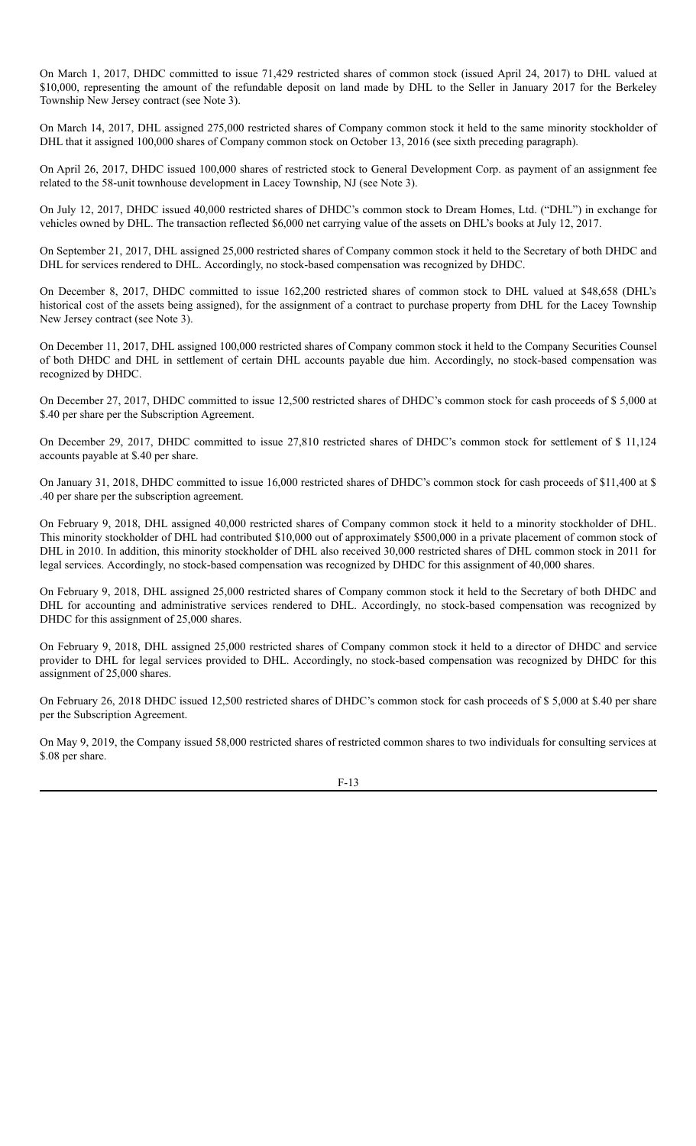On March 1, 2017, DHDC committed to issue 71,429 restricted shares of common stock (issued April 24, 2017) to DHL valued at \$10,000, representing the amount of the refundable deposit on land made by DHL to the Seller in January 2017 for the Berkeley Township New Jersey contract (see Note 3).

On March 14, 2017, DHL assigned 275,000 restricted shares of Company common stock it held to the same minority stockholder of DHL that it assigned 100,000 shares of Company common stock on October 13, 2016 (see sixth preceding paragraph).

On April 26, 2017, DHDC issued 100,000 shares of restricted stock to General Development Corp. as payment of an assignment fee related to the 58-unit townhouse development in Lacey Township, NJ (see Note 3).

On July 12, 2017, DHDC issued 40,000 restricted shares of DHDC's common stock to Dream Homes, Ltd. ("DHL") in exchange for vehicles owned by DHL. The transaction reflected \$6,000 net carrying value of the assets on DHL's books at July 12, 2017.

On September 21, 2017, DHL assigned 25,000 restricted shares of Company common stock it held to the Secretary of both DHDC and DHL for services rendered to DHL. Accordingly, no stock-based compensation was recognized by DHDC.

On December 8, 2017, DHDC committed to issue 162,200 restricted shares of common stock to DHL valued at \$48,658 (DHL's historical cost of the assets being assigned), for the assignment of a contract to purchase property from DHL for the Lacey Township New Jersey contract (see Note 3).

On December 11, 2017, DHL assigned 100,000 restricted shares of Company common stock it held to the Company Securities Counsel of both DHDC and DHL in settlement of certain DHL accounts payable due him. Accordingly, no stock-based compensation was recognized by DHDC.

On December 27, 2017, DHDC committed to issue 12,500 restricted shares of DHDC's common stock for cash proceeds of \$ 5,000 at \$.40 per share per the Subscription Agreement.

On December 29, 2017, DHDC committed to issue 27,810 restricted shares of DHDC's common stock for settlement of \$ 11,124 accounts payable at \$.40 per share.

On January 31, 2018, DHDC committed to issue 16,000 restricted shares of DHDC's common stock for cash proceeds of \$11,400 at \$ .40 per share per the subscription agreement.

On February 9, 2018, DHL assigned 40,000 restricted shares of Company common stock it held to a minority stockholder of DHL. This minority stockholder of DHL had contributed \$10,000 out of approximately \$500,000 in a private placement of common stock of DHL in 2010. In addition, this minority stockholder of DHL also received 30,000 restricted shares of DHL common stock in 2011 for legal services. Accordingly, no stock-based compensation was recognized by DHDC for this assignment of 40,000 shares.

On February 9, 2018, DHL assigned 25,000 restricted shares of Company common stock it held to the Secretary of both DHDC and DHL for accounting and administrative services rendered to DHL. Accordingly, no stock-based compensation was recognized by DHDC for this assignment of 25,000 shares.

On February 9, 2018, DHL assigned 25,000 restricted shares of Company common stock it held to a director of DHDC and service provider to DHL for legal services provided to DHL. Accordingly, no stock-based compensation was recognized by DHDC for this assignment of 25,000 shares.

On February 26, 2018 DHDC issued 12,500 restricted shares of DHDC's common stock for cash proceeds of \$ 5,000 at \$.40 per share per the Subscription Agreement.

On May 9, 2019, the Company issued 58,000 restricted shares of restricted common shares to two individuals for consulting services at \$.08 per share.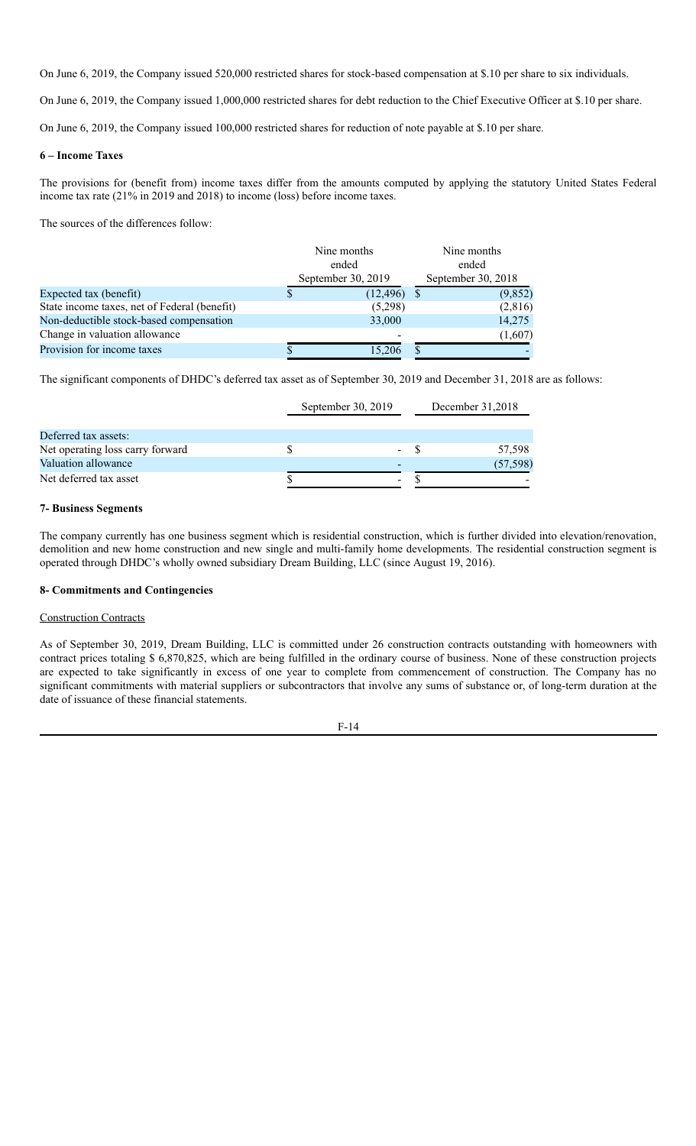On June 6, 2019, the Company issued 520,000 restricted shares for stock-based compensation at \$.10 per share to six individuals.

On June 6, 2019, the Company issued 1,000,000 restricted shares for debt reduction to the Chief Executive Officer at \$.10 per share.

On June 6, 2019, the Company issued 100,000 restricted shares for reduction of note payable at \$.10 per share.

#### **6 – Income Taxes**

The provisions for (benefit from) income taxes differ from the amounts computed by applying the statutory United States Federal income tax rate (21% in 2019 and 2018) to income (loss) before income taxes.

The sources of the differences follow:

|                                              | Nine months<br>ended<br>September 30, 2019 |           | Nine months<br>ended<br>September 30, 2018 |         |
|----------------------------------------------|--------------------------------------------|-----------|--------------------------------------------|---------|
| Expected tax (benefit)                       |                                            | (12, 496) |                                            | (9,852) |
| State income taxes, net of Federal (benefit) |                                            | (5,298)   |                                            | (2,816) |
| Non-deductible stock-based compensation      |                                            | 33,000    |                                            | 14,275  |
| Change in valuation allowance                |                                            |           |                                            | (1,607) |
| Provision for income taxes                   |                                            |           |                                            |         |

The significant components of DHDC's deferred tax asset as of September 30, 2019 and December 31, 2018 are as follows:

|                                  | September 30, 2019 |   | December $31,2018$ |
|----------------------------------|--------------------|---|--------------------|
| Deferred tax assets:             |                    |   |                    |
| Net operating loss carry forward |                    |   | 57,598             |
| Valuation allowance              |                    |   | (57, 598)          |
| Net deferred tax asset           |                    | - |                    |

#### **7- Business Segments**

The company currently has one business segment which is residential construction, which is further divided into elevation/renovation, demolition and new home construction and new single and multi-family home developments. The residential construction segment is operated through DHDC's wholly owned subsidiary Dream Building, LLC (since August 19, 2016).

#### **8- Commitments and Contingencies**

#### Construction Contracts

As of September 30, 2019, Dream Building, LLC is committed under 26 construction contracts outstanding with homeowners with contract prices totaling \$ 6,870,825, which are being fulfilled in the ordinary course of business. None of these construction projects are expected to take significantly in excess of one year to complete from commencement of construction. The Company has no significant commitments with material suppliers or subcontractors that involve any sums of substance or, of long-term duration at the date of issuance of these financial statements.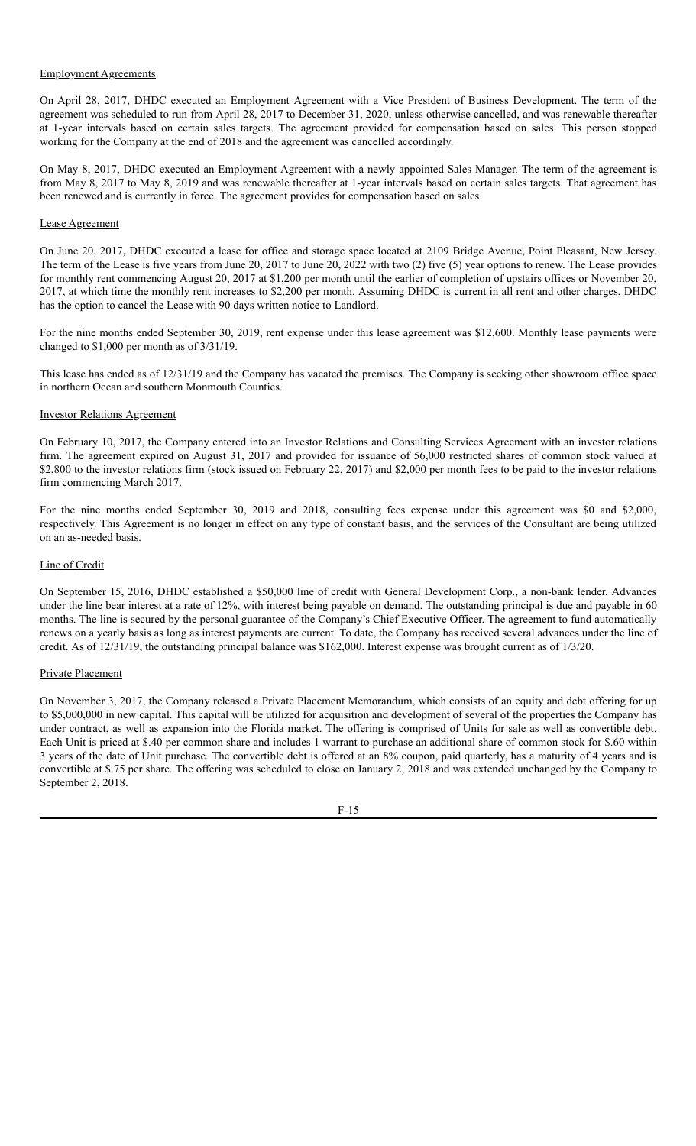#### Employment Agreements

On April 28, 2017, DHDC executed an Employment Agreement with a Vice President of Business Development. The term of the agreement was scheduled to run from April 28, 2017 to December 31, 2020, unless otherwise cancelled, and was renewable thereafter at 1-year intervals based on certain sales targets. The agreement provided for compensation based on sales. This person stopped working for the Company at the end of 2018 and the agreement was cancelled accordingly.

On May 8, 2017, DHDC executed an Employment Agreement with a newly appointed Sales Manager. The term of the agreement is from May 8, 2017 to May 8, 2019 and was renewable thereafter at 1-year intervals based on certain sales targets. That agreement has been renewed and is currently in force. The agreement provides for compensation based on sales.

#### Lease Agreement

On June 20, 2017, DHDC executed a lease for office and storage space located at 2109 Bridge Avenue, Point Pleasant, New Jersey. The term of the Lease is five years from June 20, 2017 to June 20, 2022 with two (2) five (5) year options to renew. The Lease provides for monthly rent commencing August 20, 2017 at \$1,200 per month until the earlier of completion of upstairs offices or November 20, 2017, at which time the monthly rent increases to \$2,200 per month. Assuming DHDC is current in all rent and other charges, DHDC has the option to cancel the Lease with 90 days written notice to Landlord.

For the nine months ended September 30, 2019, rent expense under this lease agreement was \$12,600. Monthly lease payments were changed to \$1,000 per month as of 3/31/19.

This lease has ended as of 12/31/19 and the Company has vacated the premises. The Company is seeking other showroom office space in northern Ocean and southern Monmouth Counties.

#### Investor Relations Agreement

On February 10, 2017, the Company entered into an Investor Relations and Consulting Services Agreement with an investor relations firm. The agreement expired on August 31, 2017 and provided for issuance of 56,000 restricted shares of common stock valued at \$2,800 to the investor relations firm (stock issued on February 22, 2017) and \$2,000 per month fees to be paid to the investor relations firm commencing March 2017.

For the nine months ended September 30, 2019 and 2018, consulting fees expense under this agreement was \$0 and \$2,000, respectively. This Agreement is no longer in effect on any type of constant basis, and the services of the Consultant are being utilized on an as-needed basis.

#### Line of Credit

On September 15, 2016, DHDC established a \$50,000 line of credit with General Development Corp., a non-bank lender. Advances under the line bear interest at a rate of 12%, with interest being payable on demand. The outstanding principal is due and payable in 60 months. The line is secured by the personal guarantee of the Company's Chief Executive Officer. The agreement to fund automatically renews on a yearly basis as long as interest payments are current. To date, the Company has received several advances under the line of credit. As of 12/31/19, the outstanding principal balance was \$162,000. Interest expense was brought current as of 1/3/20.

#### Private Placement

On November 3, 2017, the Company released a Private Placement Memorandum, which consists of an equity and debt offering for up to \$5,000,000 in new capital. This capital will be utilized for acquisition and development of several of the properties the Company has under contract, as well as expansion into the Florida market. The offering is comprised of Units for sale as well as convertible debt. Each Unit is priced at \$.40 per common share and includes 1 warrant to purchase an additional share of common stock for \$.60 within 3 years of the date of Unit purchase. The convertible debt is offered at an 8% coupon, paid quarterly, has a maturity of 4 years and is convertible at \$.75 per share. The offering was scheduled to close on January 2, 2018 and was extended unchanged by the Company to September 2, 2018.

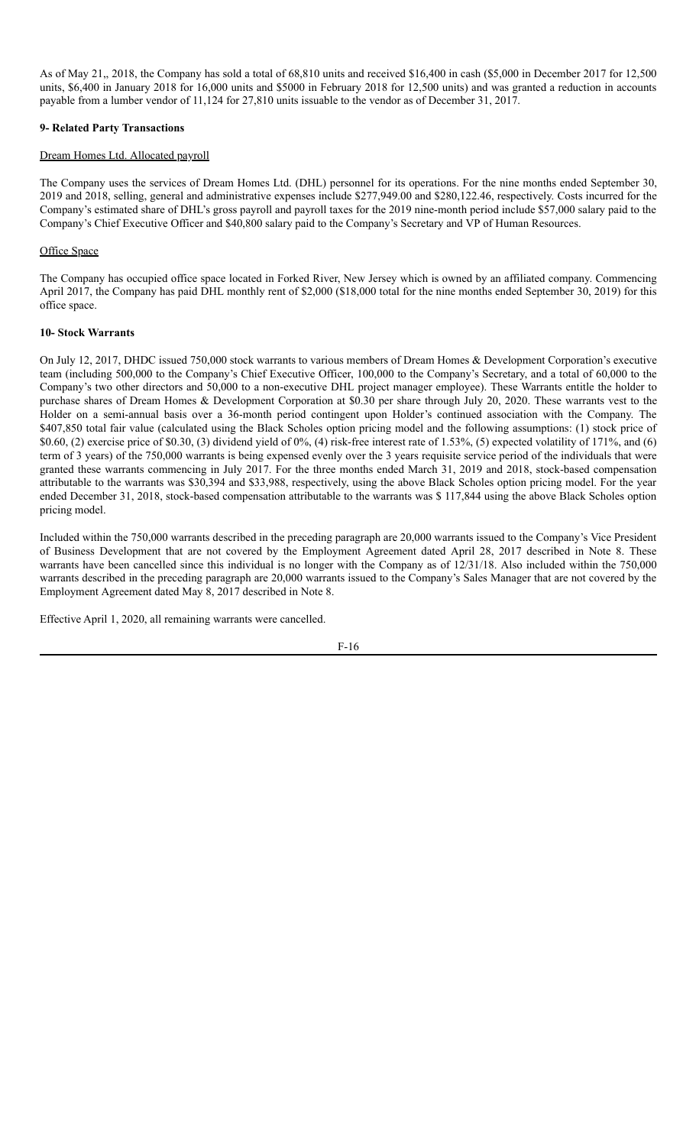As of May 21,, 2018, the Company has sold a total of 68,810 units and received \$16,400 in cash (\$5,000 in December 2017 for 12,500 units, \$6,400 in January 2018 for 16,000 units and \$5000 in February 2018 for 12,500 units) and was granted a reduction in accounts payable from a lumber vendor of 11,124 for 27,810 units issuable to the vendor as of December 31, 2017.

### **9- Related Party Transactions**

#### Dream Homes Ltd. Allocated payroll

The Company uses the services of Dream Homes Ltd. (DHL) personnel for its operations. For the nine months ended September 30, 2019 and 2018, selling, general and administrative expenses include \$277,949.00 and \$280,122.46, respectively. Costs incurred for the Company's estimated share of DHL's gross payroll and payroll taxes for the 2019 nine-month period include \$57,000 salary paid to the Company's Chief Executive Officer and \$40,800 salary paid to the Company's Secretary and VP of Human Resources.

#### Office Space

The Company has occupied office space located in Forked River, New Jersey which is owned by an affiliated company. Commencing April 2017, the Company has paid DHL monthly rent of \$2,000 (\$18,000 total for the nine months ended September 30, 2019) for this office space.

#### **10- Stock Warrants**

On July 12, 2017, DHDC issued 750,000 stock warrants to various members of Dream Homes & Development Corporation's executive team (including 500,000 to the Company's Chief Executive Officer, 100,000 to the Company's Secretary, and a total of 60,000 to the Company's two other directors and 50,000 to a non-executive DHL project manager employee). These Warrants entitle the holder to purchase shares of Dream Homes & Development Corporation at \$0.30 per share through July 20, 2020. These warrants vest to the Holder on a semi-annual basis over a 36-month period contingent upon Holder's continued association with the Company. The \$407,850 total fair value (calculated using the Black Scholes option pricing model and the following assumptions: (1) stock price of \$0.60, (2) exercise price of \$0.30, (3) dividend yield of 0%, (4) risk-free interest rate of 1.53%, (5) expected volatility of 171%, and (6) term of 3 years) of the 750,000 warrants is being expensed evenly over the 3 years requisite service period of the individuals that were granted these warrants commencing in July 2017. For the three months ended March 31, 2019 and 2018, stock-based compensation attributable to the warrants was \$30,394 and \$33,988, respectively, using the above Black Scholes option pricing model. For the year ended December 31, 2018, stock-based compensation attributable to the warrants was \$ 117,844 using the above Black Scholes option pricing model.

Included within the 750,000 warrants described in the preceding paragraph are 20,000 warrants issued to the Company's Vice President of Business Development that are not covered by the Employment Agreement dated April 28, 2017 described in Note 8. These warrants have been cancelled since this individual is no longer with the Company as of 12/31/18. Also included within the 750,000 warrants described in the preceding paragraph are 20,000 warrants issued to the Company's Sales Manager that are not covered by the Employment Agreement dated May 8, 2017 described in Note 8.

Effective April 1, 2020, all remaining warrants were cancelled.

$$
F-16
$$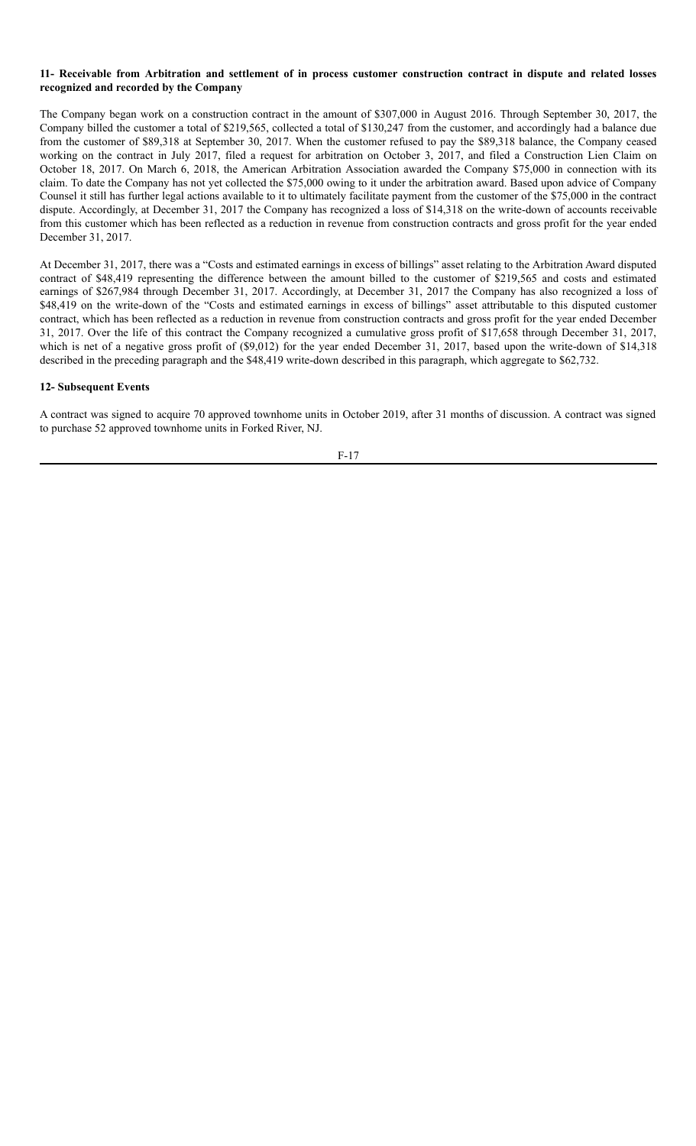#### 11- Receivable from Arbitration and settlement of in process customer construction contract in dispute and related losses **recognized and recorded by the Company**

The Company began work on a construction contract in the amount of \$307,000 in August 2016. Through September 30, 2017, the Company billed the customer a total of \$219,565, collected a total of \$130,247 from the customer, and accordingly had a balance due from the customer of \$89,318 at September 30, 2017. When the customer refused to pay the \$89,318 balance, the Company ceased working on the contract in July 2017, filed a request for arbitration on October 3, 2017, and filed a Construction Lien Claim on October 18, 2017. On March 6, 2018, the American Arbitration Association awarded the Company \$75,000 in connection with its claim. To date the Company has not yet collected the \$75,000 owing to it under the arbitration award. Based upon advice of Company Counsel it still has further legal actions available to it to ultimately facilitate payment from the customer of the \$75,000 in the contract dispute. Accordingly, at December 31, 2017 the Company has recognized a loss of \$14,318 on the write-down of accounts receivable from this customer which has been reflected as a reduction in revenue from construction contracts and gross profit for the year ended December 31, 2017.

At December 31, 2017, there was a "Costs and estimated earnings in excess of billings" asset relating to the Arbitration Award disputed contract of \$48,419 representing the difference between the amount billed to the customer of \$219,565 and costs and estimated earnings of \$267,984 through December 31, 2017. Accordingly, at December 31, 2017 the Company has also recognized a loss of \$48,419 on the write-down of the "Costs and estimated earnings in excess of billings" asset attributable to this disputed customer contract, which has been reflected as a reduction in revenue from construction contracts and gross profit for the year ended December 31, 2017. Over the life of this contract the Company recognized a cumulative gross profit of \$17,658 through December 31, 2017, which is net of a negative gross profit of (\$9,012) for the year ended December 31, 2017, based upon the write-down of \$14,318 described in the preceding paragraph and the \$48,419 write-down described in this paragraph, which aggregate to \$62,732.

#### **12- Subsequent Events**

A contract was signed to acquire 70 approved townhome units in October 2019, after 31 months of discussion. A contract was signed to purchase 52 approved townhome units in Forked River, NJ.

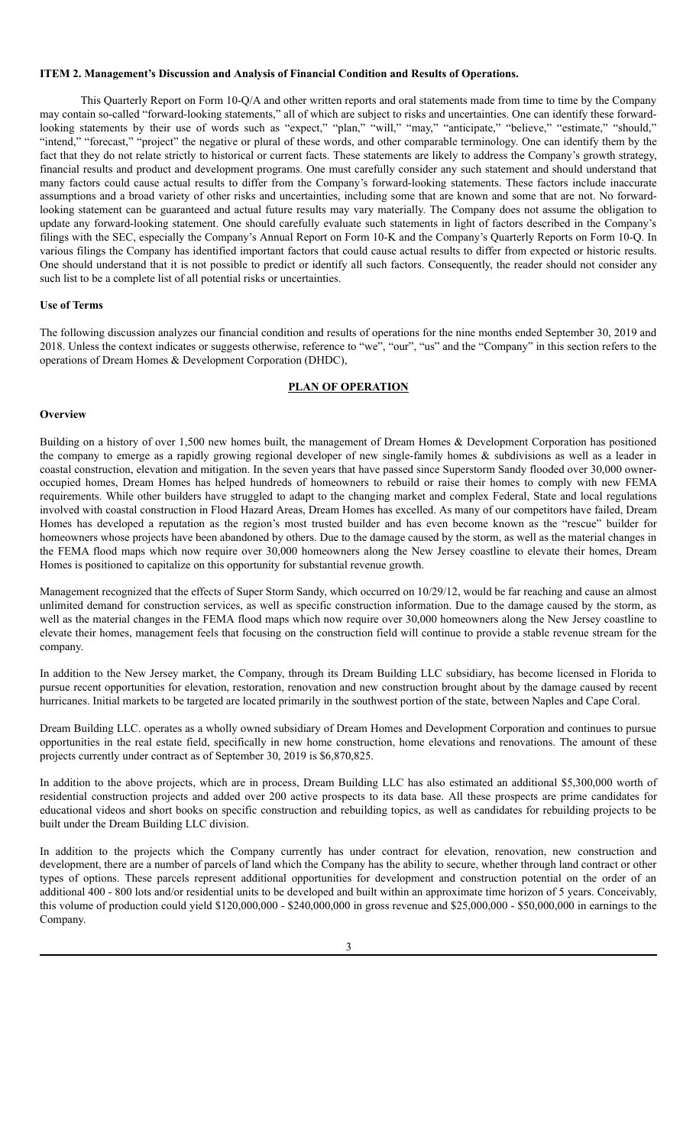#### <span id="page-19-0"></span>**ITEM 2. Management's Discussion and Analysis of Financial Condition and Results of Operations.**

This Quarterly Report on Form 10-Q/A and other written reports and oral statements made from time to time by the Company may contain so-called "forward-looking statements," all of which are subject to risks and uncertainties. One can identify these forwardlooking statements by their use of words such as "expect," "plan," "will," "may," "anticipate," "believe," "estimate," "should," "intend," "forecast," "project" the negative or plural of these words, and other comparable terminology. One can identify them by the fact that they do not relate strictly to historical or current facts. These statements are likely to address the Company's growth strategy, financial results and product and development programs. One must carefully consider any such statement and should understand that many factors could cause actual results to differ from the Company's forward-looking statements. These factors include inaccurate assumptions and a broad variety of other risks and uncertainties, including some that are known and some that are not. No forwardlooking statement can be guaranteed and actual future results may vary materially. The Company does not assume the obligation to update any forward-looking statement. One should carefully evaluate such statements in light of factors described in the Company's filings with the SEC, especially the Company's Annual Report on Form 10-K and the Company's Quarterly Reports on Form 10-Q. In various filings the Company has identified important factors that could cause actual results to differ from expected or historic results. One should understand that it is not possible to predict or identify all such factors. Consequently, the reader should not consider any such list to be a complete list of all potential risks or uncertainties.

#### **Use of Terms**

The following discussion analyzes our financial condition and results of operations for the nine months ended September 30, 2019 and 2018. Unless the context indicates or suggests otherwise, reference to "we", "our", "us" and the "Company" in this section refers to the operations of Dream Homes & Development Corporation (DHDC),

#### **PLAN OF OPERATION**

#### **Overview**

Building on a history of over 1,500 new homes built, the management of Dream Homes & Development Corporation has positioned the company to emerge as a rapidly growing regional developer of new single-family homes & subdivisions as well as a leader in coastal construction, elevation and mitigation. In the seven years that have passed since Superstorm Sandy flooded over 30,000 owneroccupied homes, Dream Homes has helped hundreds of homeowners to rebuild or raise their homes to comply with new FEMA requirements. While other builders have struggled to adapt to the changing market and complex Federal, State and local regulations involved with coastal construction in Flood Hazard Areas, Dream Homes has excelled. As many of our competitors have failed, Dream Homes has developed a reputation as the region's most trusted builder and has even become known as the "rescue" builder for homeowners whose projects have been abandoned by others. Due to the damage caused by the storm, as well as the material changes in the FEMA flood maps which now require over 30,000 homeowners along the New Jersey coastline to elevate their homes, Dream Homes is positioned to capitalize on this opportunity for substantial revenue growth.

Management recognized that the effects of Super Storm Sandy, which occurred on 10/29/12, would be far reaching and cause an almost unlimited demand for construction services, as well as specific construction information. Due to the damage caused by the storm, as well as the material changes in the FEMA flood maps which now require over 30,000 homeowners along the New Jersey coastline to elevate their homes, management feels that focusing on the construction field will continue to provide a stable revenue stream for the company.

In addition to the New Jersey market, the Company, through its Dream Building LLC subsidiary, has become licensed in Florida to pursue recent opportunities for elevation, restoration, renovation and new construction brought about by the damage caused by recent hurricanes. Initial markets to be targeted are located primarily in the southwest portion of the state, between Naples and Cape Coral.

Dream Building LLC. operates as a wholly owned subsidiary of Dream Homes and Development Corporation and continues to pursue opportunities in the real estate field, specifically in new home construction, home elevations and renovations. The amount of these projects currently under contract as of September 30, 2019 is \$6,870,825.

In addition to the above projects, which are in process, Dream Building LLC has also estimated an additional \$5,300,000 worth of residential construction projects and added over 200 active prospects to its data base. All these prospects are prime candidates for educational videos and short books on specific construction and rebuilding topics, as well as candidates for rebuilding projects to be built under the Dream Building LLC division.

In addition to the projects which the Company currently has under contract for elevation, renovation, new construction and development, there are a number of parcels of land which the Company has the ability to secure, whether through land contract or other types of options. These parcels represent additional opportunities for development and construction potential on the order of an additional 400 - 800 lots and/or residential units to be developed and built within an approximate time horizon of 5 years. Conceivably, this volume of production could yield \$120,000,000 - \$240,000,000 in gross revenue and \$25,000,000 - \$50,000,000 in earnings to the Company.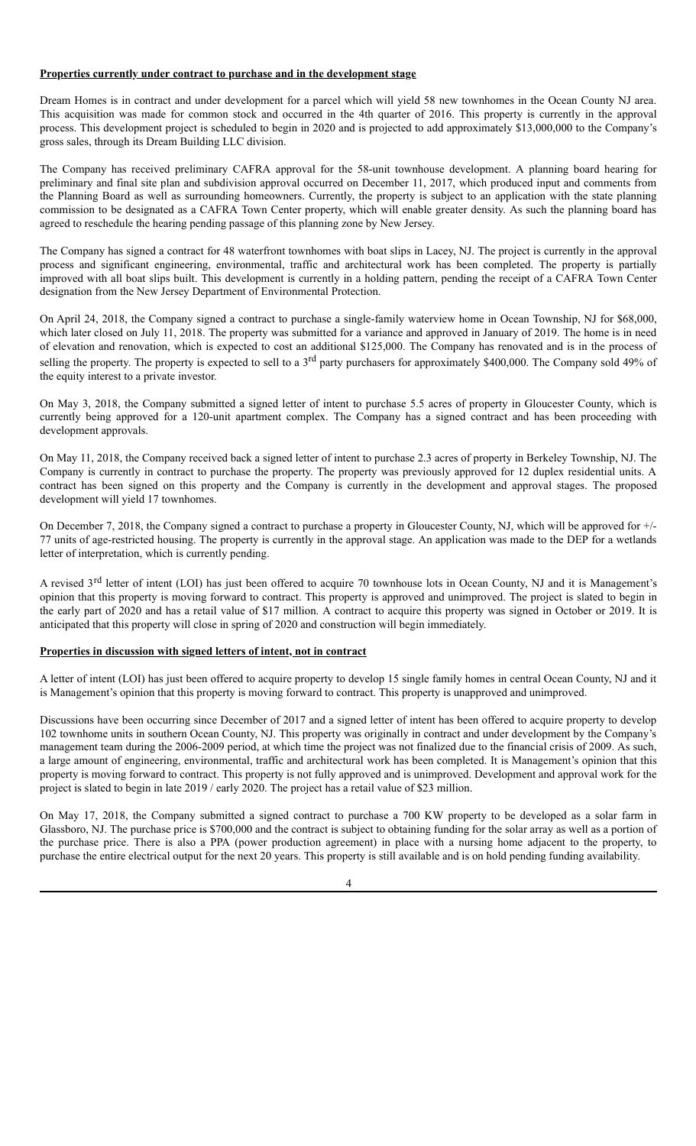#### **Properties currently under contract to purchase and in the development stage**

Dream Homes is in contract and under development for a parcel which will yield 58 new townhomes in the Ocean County NJ area. This acquisition was made for common stock and occurred in the 4th quarter of 2016. This property is currently in the approval process. This development project is scheduled to begin in 2020 and is projected to add approximately \$13,000,000 to the Company's gross sales, through its Dream Building LLC division.

The Company has received preliminary CAFRA approval for the 58-unit townhouse development. A planning board hearing for preliminary and final site plan and subdivision approval occurred on December 11, 2017, which produced input and comments from the Planning Board as well as surrounding homeowners. Currently, the property is subject to an application with the state planning commission to be designated as a CAFRA Town Center property, which will enable greater density. As such the planning board has agreed to reschedule the hearing pending passage of this planning zone by New Jersey.

The Company has signed a contract for 48 waterfront townhomes with boat slips in Lacey, NJ. The project is currently in the approval process and significant engineering, environmental, traffic and architectural work has been completed. The property is partially improved with all boat slips built. This development is currently in a holding pattern, pending the receipt of a CAFRA Town Center designation from the New Jersey Department of Environmental Protection.

On April 24, 2018, the Company signed a contract to purchase a single-family waterview home in Ocean Township, NJ for \$68,000, which later closed on July 11, 2018. The property was submitted for a variance and approved in January of 2019. The home is in need of elevation and renovation, which is expected to cost an additional \$125,000. The Company has renovated and is in the process of selling the property. The property is expected to sell to a 3<sup>rd</sup> party purchasers for approximately \$400,000. The Company sold 49% of the equity interest to a private investor.

On May 3, 2018, the Company submitted a signed letter of intent to purchase 5.5 acres of property in Gloucester County, which is currently being approved for a 120-unit apartment complex. The Company has a signed contract and has been proceeding with development approvals.

On May 11, 2018, the Company received back a signed letter of intent to purchase 2.3 acres of property in Berkeley Township, NJ. The Company is currently in contract to purchase the property. The property was previously approved for 12 duplex residential units. A contract has been signed on this property and the Company is currently in the development and approval stages. The proposed development will yield 17 townhomes.

On December 7, 2018, the Company signed a contract to purchase a property in Gloucester County, NJ, which will be approved for +/- 77 units of age-restricted housing. The property is currently in the approval stage. An application was made to the DEP for a wetlands letter of interpretation, which is currently pending.

A revised 3<sup>rd</sup> letter of intent (LOI) has just been offered to acquire 70 townhouse lots in Ocean County, NJ and it is Management's opinion that this property is moving forward to contract. This property is approved and unimproved. The project is slated to begin in the early part of 2020 and has a retail value of \$17 million. A contract to acquire this property was signed in October or 2019. It is anticipated that this property will close in spring of 2020 and construction will begin immediately.

#### **Properties in discussion with signed letters of intent, not in contract**

A letter of intent (LOI) has just been offered to acquire property to develop 15 single family homes in central Ocean County, NJ and it is Management's opinion that this property is moving forward to contract. This property is unapproved and unimproved.

Discussions have been occurring since December of 2017 and a signed letter of intent has been offered to acquire property to develop 102 townhome units in southern Ocean County, NJ. This property was originally in contract and under development by the Company's management team during the 2006-2009 period, at which time the project was not finalized due to the financial crisis of 2009. As such, a large amount of engineering, environmental, traffic and architectural work has been completed. It is Management's opinion that this property is moving forward to contract. This property is not fully approved and is unimproved. Development and approval work for the project is slated to begin in late 2019 / early 2020. The project has a retail value of \$23 million.

On May 17, 2018, the Company submitted a signed contract to purchase a 700 KW property to be developed as a solar farm in Glassboro, NJ. The purchase price is \$700,000 and the contract is subject to obtaining funding for the solar array as well as a portion of the purchase price. There is also a PPA (power production agreement) in place with a nursing home adjacent to the property, to purchase the entire electrical output for the next 20 years. This property is still available and is on hold pending funding availability.

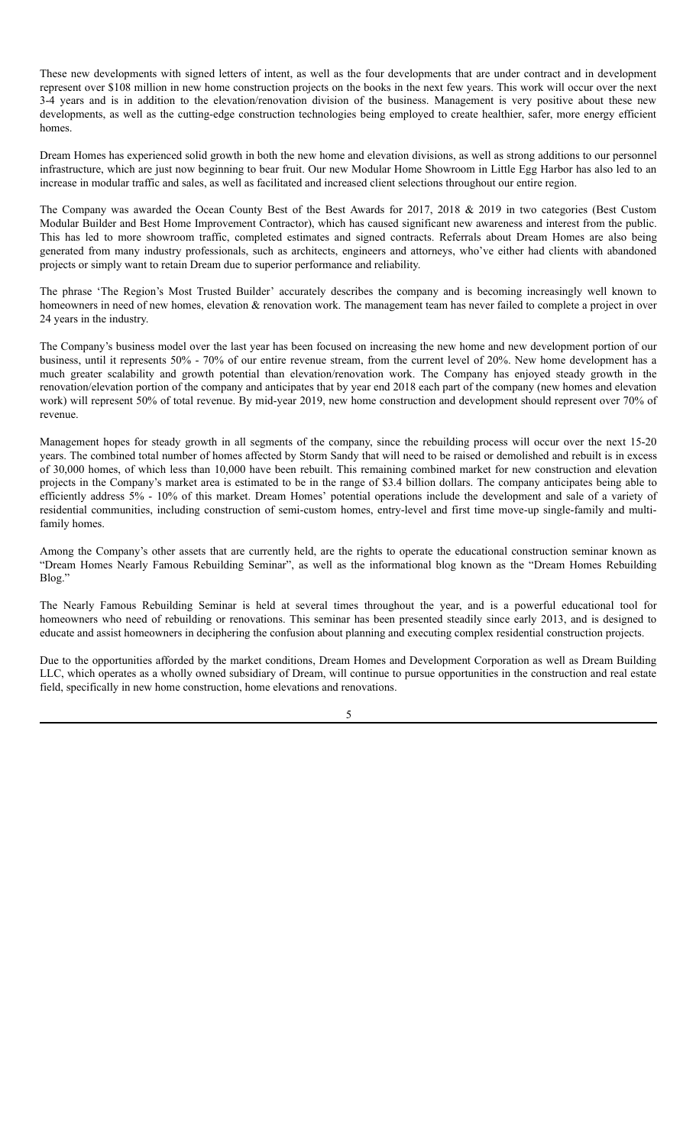These new developments with signed letters of intent, as well as the four developments that are under contract and in development represent over \$108 million in new home construction projects on the books in the next few years. This work will occur over the next 3-4 years and is in addition to the elevation/renovation division of the business. Management is very positive about these new developments, as well as the cutting-edge construction technologies being employed to create healthier, safer, more energy efficient homes.

Dream Homes has experienced solid growth in both the new home and elevation divisions, as well as strong additions to our personnel infrastructure, which are just now beginning to bear fruit. Our new Modular Home Showroom in Little Egg Harbor has also led to an increase in modular traffic and sales, as well as facilitated and increased client selections throughout our entire region.

The Company was awarded the Ocean County Best of the Best Awards for 2017, 2018 & 2019 in two categories (Best Custom Modular Builder and Best Home Improvement Contractor), which has caused significant new awareness and interest from the public. This has led to more showroom traffic, completed estimates and signed contracts. Referrals about Dream Homes are also being generated from many industry professionals, such as architects, engineers and attorneys, who've either had clients with abandoned projects or simply want to retain Dream due to superior performance and reliability.

The phrase 'The Region's Most Trusted Builder' accurately describes the company and is becoming increasingly well known to homeowners in need of new homes, elevation & renovation work. The management team has never failed to complete a project in over 24 years in the industry.

The Company's business model over the last year has been focused on increasing the new home and new development portion of our business, until it represents 50% - 70% of our entire revenue stream, from the current level of 20%. New home development has a much greater scalability and growth potential than elevation/renovation work. The Company has enjoyed steady growth in the renovation/elevation portion of the company and anticipates that by year end 2018 each part of the company (new homes and elevation work) will represent 50% of total revenue. By mid-year 2019, new home construction and development should represent over 70% of revenue.

Management hopes for steady growth in all segments of the company, since the rebuilding process will occur over the next 15-20 years. The combined total number of homes affected by Storm Sandy that will need to be raised or demolished and rebuilt is in excess of 30,000 homes, of which less than 10,000 have been rebuilt. This remaining combined market for new construction and elevation projects in the Company's market area is estimated to be in the range of \$3.4 billion dollars. The company anticipates being able to efficiently address 5% - 10% of this market. Dream Homes' potential operations include the development and sale of a variety of residential communities, including construction of semi-custom homes, entry-level and first time move-up single-family and multifamily homes.

Among the Company's other assets that are currently held, are the rights to operate the educational construction seminar known as "Dream Homes Nearly Famous Rebuilding Seminar", as well as the informational blog known as the "Dream Homes Rebuilding Blog."

The Nearly Famous Rebuilding Seminar is held at several times throughout the year, and is a powerful educational tool for homeowners who need of rebuilding or renovations. This seminar has been presented steadily since early 2013, and is designed to educate and assist homeowners in deciphering the confusion about planning and executing complex residential construction projects.

Due to the opportunities afforded by the market conditions, Dream Homes and Development Corporation as well as Dream Building LLC, which operates as a wholly owned subsidiary of Dream, will continue to pursue opportunities in the construction and real estate field, specifically in new home construction, home elevations and renovations.

5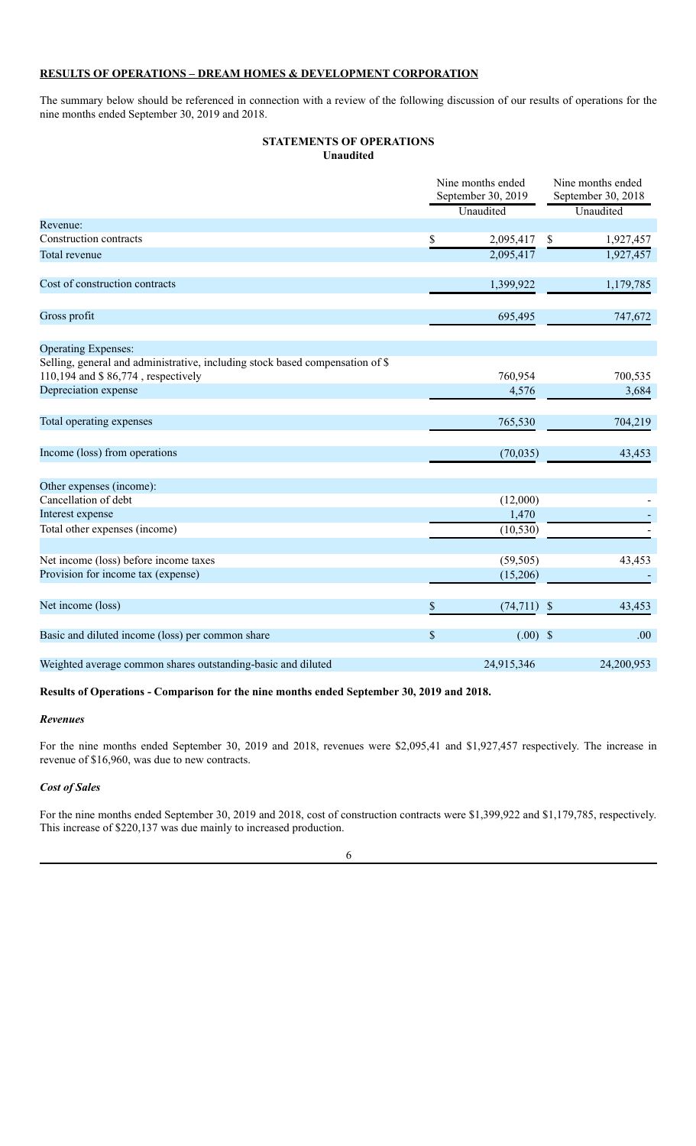### **RESULTS OF OPERATIONS – DREAM HOMES & DEVELOPMENT CORPORATION**

The summary below should be referenced in connection with a review of the following discussion of our results of operations for the nine months ended September 30, 2019 and 2018.

#### **STATEMENTS OF OPERATIONS Unaudited**

|                                                                                                                     | Nine months ended<br>September 30, 2019 |            | Nine months ended<br>September 30, 2018 |            |
|---------------------------------------------------------------------------------------------------------------------|-----------------------------------------|------------|-----------------------------------------|------------|
|                                                                                                                     |                                         | Unaudited  |                                         | Unaudited  |
| Revenue:                                                                                                            |                                         |            |                                         |            |
| Construction contracts                                                                                              | \$                                      | 2,095,417  | $\mathbb{S}$                            | 1,927,457  |
| Total revenue                                                                                                       |                                         | 2,095,417  |                                         | 1,927,457  |
| Cost of construction contracts                                                                                      |                                         | 1,399,922  |                                         | 1,179,785  |
| Gross profit                                                                                                        |                                         | 695,495    |                                         | 747,672    |
| <b>Operating Expenses:</b>                                                                                          |                                         |            |                                         |            |
| Selling, general and administrative, including stock based compensation of \$<br>110,194 and \$86,774, respectively |                                         | 760,954    |                                         | 700,535    |
| Depreciation expense                                                                                                |                                         | 4,576      |                                         | 3,684      |
| Total operating expenses                                                                                            |                                         | 765,530    |                                         | 704,219    |
| Income (loss) from operations                                                                                       |                                         | (70,035)   |                                         | 43,453     |
| Other expenses (income):                                                                                            |                                         |            |                                         |            |
| Cancellation of debt                                                                                                |                                         | (12,000)   |                                         |            |
| Interest expense                                                                                                    |                                         | 1,470      |                                         |            |
| Total other expenses (income)                                                                                       |                                         | (10, 530)  |                                         |            |
| Net income (loss) before income taxes                                                                               |                                         | (59, 505)  |                                         | 43,453     |
| Provision for income tax (expense)                                                                                  |                                         | (15,206)   |                                         |            |
| Net income (loss)                                                                                                   | \$                                      | (74, 711)  | $\sqrt{3}$                              | 43,453     |
| Basic and diluted income (loss) per common share                                                                    | $\boldsymbol{\mathsf{S}}$               | $(.00)$ \$ |                                         | .00        |
| Weighted average common shares outstanding-basic and diluted                                                        |                                         | 24,915,346 |                                         | 24,200,953 |

#### **Results of Operations - Comparison for the nine months ended September 30, 2019 and 2018.**

#### *Revenues*

For the nine months ended September 30, 2019 and 2018, revenues were \$2,095,41 and \$1,927,457 respectively. The increase in revenue of \$16,960, was due to new contracts.

#### *Cost of Sales*

For the nine months ended September 30, 2019 and 2018, cost of construction contracts were \$1,399,922 and \$1,179,785, respectively. This increase of \$220,137 was due mainly to increased production.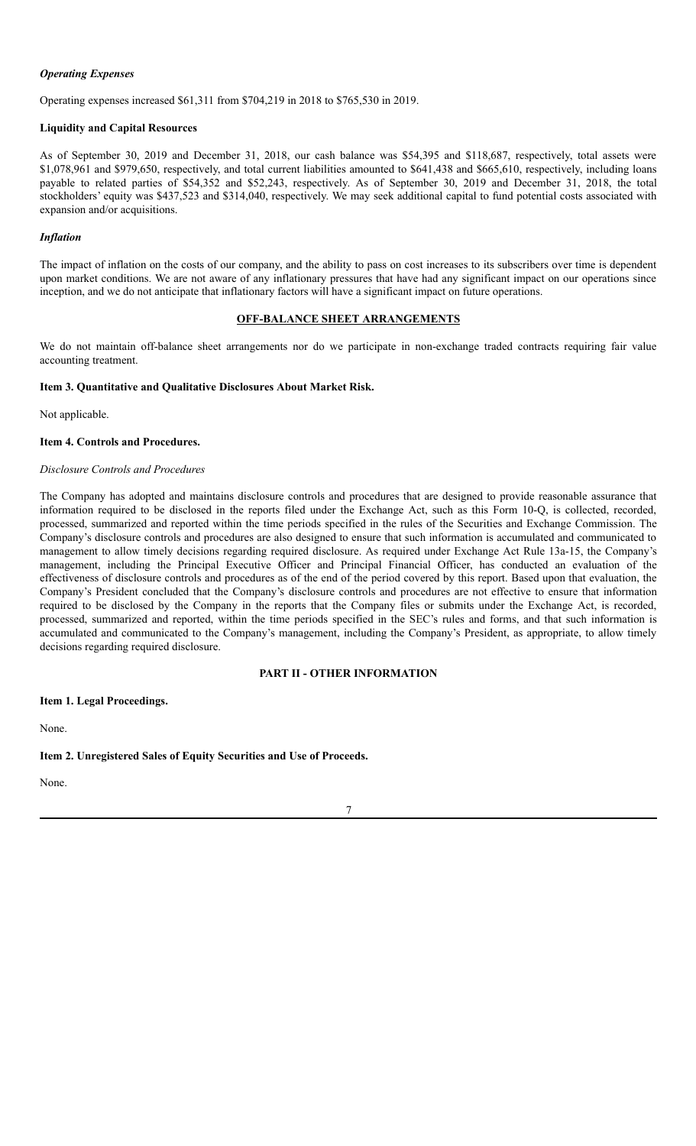#### *Operating Expenses*

Operating expenses increased \$61,311 from \$704,219 in 2018 to \$765,530 in 2019.

#### **Liquidity and Capital Resources**

As of September 30, 2019 and December 31, 2018, our cash balance was \$54,395 and \$118,687, respectively, total assets were \$1,078,961 and \$979,650, respectively, and total current liabilities amounted to \$641,438 and \$665,610, respectively, including loans payable to related parties of \$54,352 and \$52,243, respectively. As of September 30, 2019 and December 31, 2018, the total stockholders' equity was \$437,523 and \$314,040, respectively. We may seek additional capital to fund potential costs associated with expansion and/or acquisitions.

#### *Inflation*

The impact of inflation on the costs of our company, and the ability to pass on cost increases to its subscribers over time is dependent upon market conditions. We are not aware of any inflationary pressures that have had any significant impact on our operations since inception, and we do not anticipate that inflationary factors will have a significant impact on future operations.

#### **OFF-BALANCE SHEET ARRANGEMENTS**

We do not maintain off-balance sheet arrangements nor do we participate in non-exchange traded contracts requiring fair value accounting treatment.

#### <span id="page-23-0"></span>**Item 3. Quantitative and Qualitative Disclosures About Market Risk.**

Not applicable.

#### <span id="page-23-1"></span>**Item 4. Controls and Procedures.**

#### *Disclosure Controls and Procedures*

The Company has adopted and maintains disclosure controls and procedures that are designed to provide reasonable assurance that information required to be disclosed in the reports filed under the Exchange Act, such as this Form 10-Q, is collected, recorded, processed, summarized and reported within the time periods specified in the rules of the Securities and Exchange Commission. The Company's disclosure controls and procedures are also designed to ensure that such information is accumulated and communicated to management to allow timely decisions regarding required disclosure. As required under Exchange Act Rule 13a-15, the Company's management, including the Principal Executive Officer and Principal Financial Officer, has conducted an evaluation of the effectiveness of disclosure controls and procedures as of the end of the period covered by this report. Based upon that evaluation, the Company's President concluded that the Company's disclosure controls and procedures are not effective to ensure that information required to be disclosed by the Company in the reports that the Company files or submits under the Exchange Act, is recorded, processed, summarized and reported, within the time periods specified in the SEC's rules and forms, and that such information is accumulated and communicated to the Company's management, including the Company's President, as appropriate, to allow timely decisions regarding required disclosure.

#### **PART II - OTHER INFORMATION**

#### <span id="page-23-3"></span><span id="page-23-2"></span>**Item 1. Legal Proceedings.**

None.

#### <span id="page-23-4"></span>**Item 2. Unregistered Sales of Equity Securities and Use of Proceeds.**

None.

7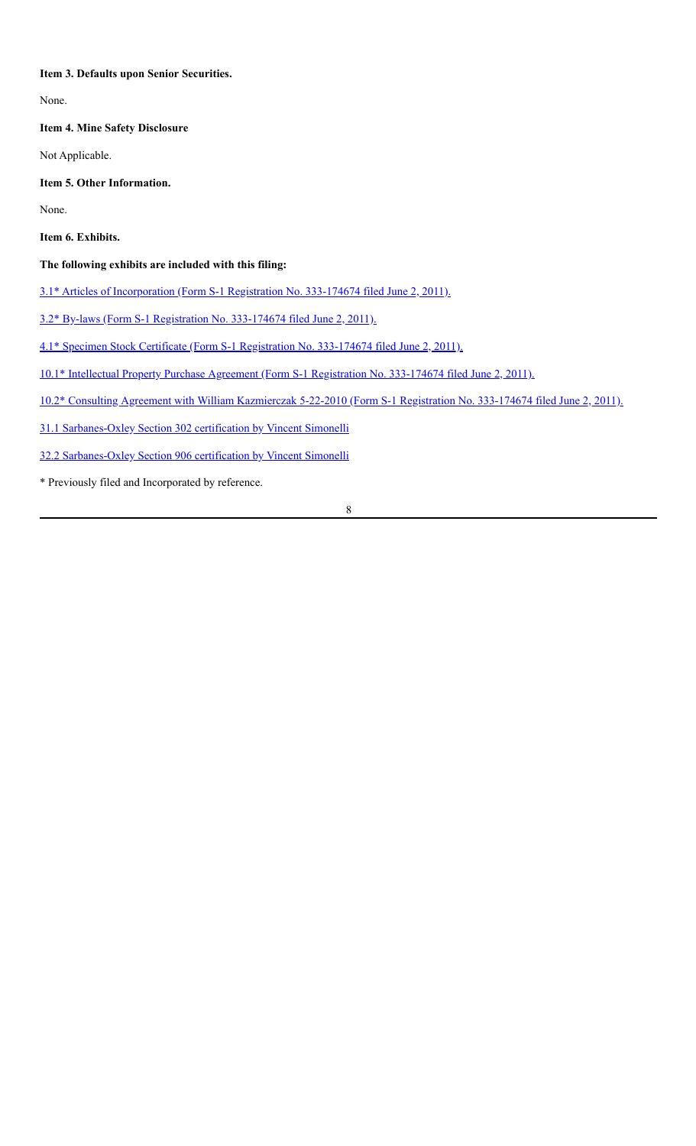#### <span id="page-24-0"></span>**Item 3. Defaults upon Senior Securities.**

None.

<span id="page-24-1"></span>**Item 4. Mine Safety Disclosure**

Not Applicable.

<span id="page-24-2"></span>**Item 5. Other Information.**

None.

<span id="page-24-3"></span>

|  | Item 6. Exhibits. |
|--|-------------------|
|--|-------------------|

#### **The following exhibits are included with this filing:**

3.1\* Articles of [Incorporation](http://www.sec.gov/Archives/edgar/data/1518336/000151833611000003/exhibit_3articlesofincorpora.htm) (Form S-1 Registration No. 333-174674 filed June 2, 2011).

3.2\* By-laws (Form S-1 [Registration](http://www.sec.gov/Archives/edgar/data/1518336/000151833611000003/bylaws.htm) No. 333-174674 filed June 2, 2011).

4.1\* Specimen Stock Certificate (Form S-1 [Registration](http://www.sec.gov/Archives/edgar/data/1518336/000151833611000003/ex4samplestockcert.htm) No. 333-174674 filed June 2, 2011).

10.1\* Intellectual Property Purchase Agreement (Form S-1 [Registration](http://www.sec.gov/Archives/edgar/data/1518336/000151833611000003/agreementwithterrareip.htm) No. 333-174674 filed June 2, 2011).

10.2\* Consulting Agreement with William [Kazmierczak](http://www.sec.gov/Archives/edgar/data/1518336/000151833611000003/ex_101kazmierczackagreement0.htm) 5-22-2010 (Form S-1 Registration No. 333-174674 filed June 2, 2011).

31.1 [Sarbanes-Oxley](http://compliance-sec.com/secfilings/company/VRTR/link_files/2020/01-23-2020/Form10-Q(01-23-2020)DreamHomesandDevelopmentCorp/ex31-1.htm) Section 302 certification by Vincent Simonelli

32.2 [Sarbanes-Oxley](http://compliance-sec.com/secfilings/company/VRTR/link_files/2020/01-23-2020/Form10-Q(01-23-2020)DreamHomesandDevelopmentCorp/ex32-1.htm) Section 906 certification by Vincent Simonelli

\* Previously filed and Incorporated by reference.

8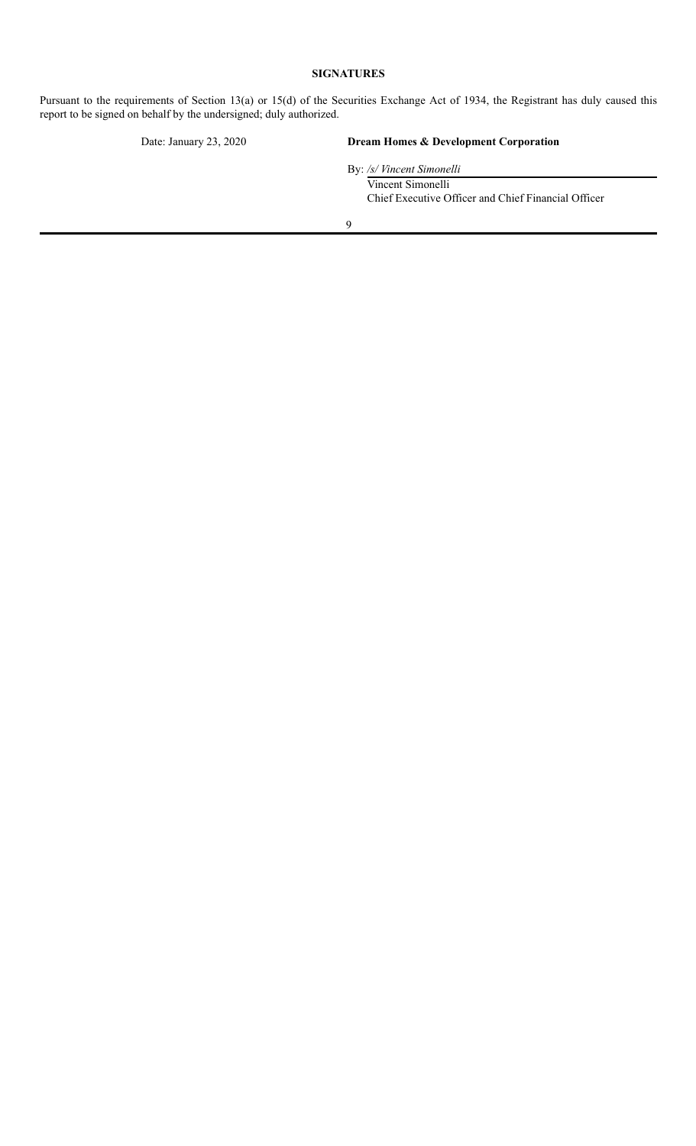### **SIGNATURES**

<span id="page-25-0"></span>Pursuant to the requirements of Section 13(a) or 15(d) of the Securities Exchange Act of 1934, the Registrant has duly caused this report to be signed on behalf by the undersigned; duly authorized.

#### Date: January 23, 2020 **Dream Homes & Development Corporation**

By: */s/ Vincent Simonelli* Vincent Simonelli Chief Executive Officer and Chief Financial Officer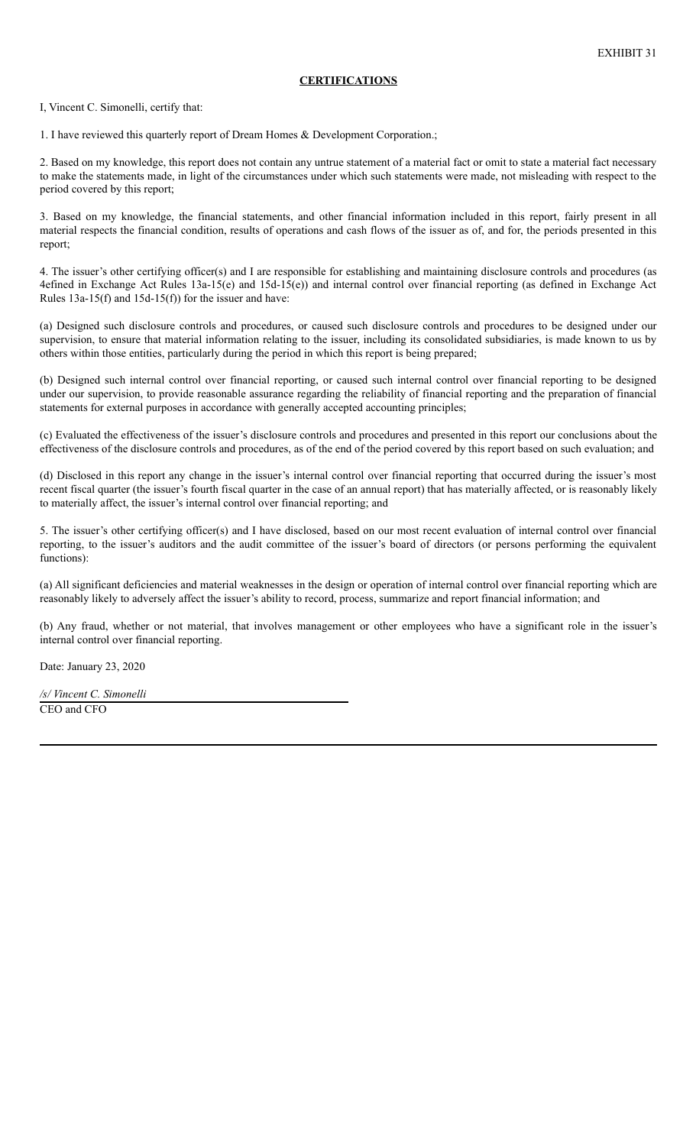### **CERTIFICATIONS**

I, Vincent C. Simonelli, certify that:

1. I have reviewed this quarterly report of Dream Homes & Development Corporation.;

2. Based on my knowledge, this report does not contain any untrue statement of a material fact or omit to state a material fact necessary to make the statements made, in light of the circumstances under which such statements were made, not misleading with respect to the period covered by this report;

3. Based on my knowledge, the financial statements, and other financial information included in this report, fairly present in all material respects the financial condition, results of operations and cash flows of the issuer as of, and for, the periods presented in this report;

4. The issuer's other certifying officer(s) and I are responsible for establishing and maintaining disclosure controls and procedures (as 4efined in Exchange Act Rules 13a-15(e) and 15d-15(e)) and internal control over financial reporting (as defined in Exchange Act Rules 13a-15(f) and 15d-15(f)) for the issuer and have:

(a) Designed such disclosure controls and procedures, or caused such disclosure controls and procedures to be designed under our supervision, to ensure that material information relating to the issuer, including its consolidated subsidiaries, is made known to us by others within those entities, particularly during the period in which this report is being prepared;

(b) Designed such internal control over financial reporting, or caused such internal control over financial reporting to be designed under our supervision, to provide reasonable assurance regarding the reliability of financial reporting and the preparation of financial statements for external purposes in accordance with generally accepted accounting principles;

(c) Evaluated the effectiveness of the issuer's disclosure controls and procedures and presented in this report our conclusions about the effectiveness of the disclosure controls and procedures, as of the end of the period covered by this report based on such evaluation; and

(d) Disclosed in this report any change in the issuer's internal control over financial reporting that occurred during the issuer's most recent fiscal quarter (the issuer's fourth fiscal quarter in the case of an annual report) that has materially affected, or is reasonably likely to materially affect, the issuer's internal control over financial reporting; and

5. The issuer's other certifying officer(s) and I have disclosed, based on our most recent evaluation of internal control over financial reporting, to the issuer's auditors and the audit committee of the issuer's board of directors (or persons performing the equivalent functions):

(a) All significant deficiencies and material weaknesses in the design or operation of internal control over financial reporting which are reasonably likely to adversely affect the issuer's ability to record, process, summarize and report financial information; and

(b) Any fraud, whether or not material, that involves management or other employees who have a significant role in the issuer's internal control over financial reporting.

Date: January 23, 2020

*/s/ Vincent C. Simonelli* CEO and CFO